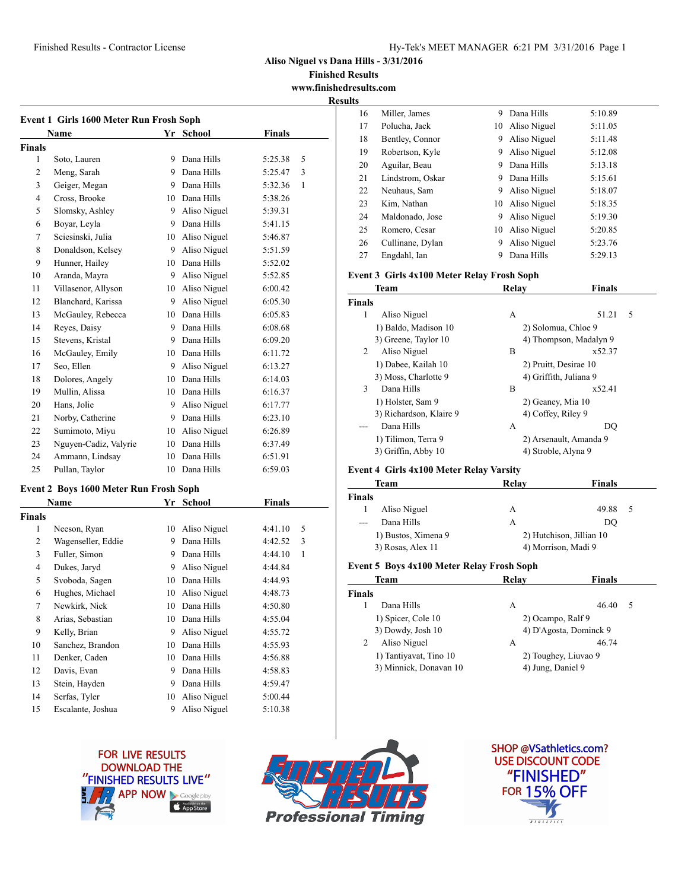### Finished Results - Contractor License Hy-Tek's MEET MANAGER 6:21 PM 3/31/2016 Page 1

**Aliso Niguel vs Dana Hills - 3/31/2016**

**Finished Results www.finishedresults.com**

**Resul** 

|                | Name                  |    | Yr School     | <b>Finals</b>           |
|----------------|-----------------------|----|---------------|-------------------------|
| <b>Finals</b>  |                       |    |               |                         |
| 1              | Soto, Lauren          | 9  | Dana Hills    | 5:25.38<br>5            |
| $\overline{2}$ | Meng, Sarah           | 9. | Dana Hills    | 5:25.47<br>3            |
| 3              | Geiger, Megan         |    | 9 Dana Hills  | 5:32.36<br>$\mathbf{1}$ |
| 4              | Cross, Brooke         | 10 | Dana Hills    | 5:38.26                 |
| 5              | Slomsky, Ashley       | 9  | Aliso Niguel  | 5:39.31                 |
| 6              | Boyar, Leyla          | 9  | Dana Hills    | 5:41.15                 |
| 7              | Sciesinski, Julia     | 10 | Aliso Niguel  | 5:46.87                 |
| 8              | Donaldson, Kelsey     | 9  | Aliso Niguel  | 5:51.59                 |
| 9              | Hunner, Hailey        | 10 | Dana Hills    | 5:52.02                 |
| 10             | Aranda, Mayra         | 9  | Aliso Niguel  | 5:52.85                 |
| 11             | Villasenor, Allyson   | 10 | Aliso Niguel  | 6:00.42                 |
| 12             | Blanchard, Karissa    | 9  | Aliso Niguel  | 6:05.30                 |
| 13             | McGauley, Rebecca     | 10 | Dana Hills    | 6:05.83                 |
| 14             | Reyes, Daisy          | 9  | Dana Hills    | 6:08.68                 |
| 15             | Stevens, Kristal      | 9  | Dana Hills    | 6:09.20                 |
| 16             | McGauley, Emily       | 10 | Dana Hills    | 6:11.72                 |
| 17             | Seo, Ellen            | 9  | Aliso Niguel  | 6:13.27                 |
| 18             | Dolores, Angely       | 10 | Dana Hills    | 6:14.03                 |
| 19             | Mullin, Alissa        | 10 | Dana Hills    | 6:16.37                 |
| 20             | Hans, Jolie           | 9  | Aliso Niguel  | 6:17.77                 |
| 21             | Norby, Catherine      | 9. | Dana Hills    | 6:23.10                 |
| 22             | Sumimoto, Miyu        | 10 | Aliso Niguel  | 6:26.89                 |
| 23             | Nguyen-Cadiz, Valyrie | 10 | Dana Hills    | 6:37.49                 |
| 24             | Ammann, Lindsay       |    | 10 Dana Hills | 6:51.91                 |
| 25             | Pullan, Taylor        |    | 10 Dana Hills | 6:59.03                 |

# **Event 2 Boys 1600 Meter Run Frosh Soph**

|               | Name               | Yr | School       | Finals  |              |
|---------------|--------------------|----|--------------|---------|--------------|
| <b>Finals</b> |                    |    |              |         |              |
| 1             | Neeson, Ryan       | 10 | Aliso Niguel | 4:41.10 | 5            |
| 2             | Wagenseller, Eddie | 9  | Dana Hills   | 4:42.52 | 3            |
| 3             | Fuller, Simon      | 9  | Dana Hills   | 4:44.10 | $\mathbf{1}$ |
| 4             | Dukes, Jaryd       | 9  | Aliso Niguel | 4:44.84 |              |
| 5             | Svoboda, Sagen     | 10 | Dana Hills   | 4:44.93 |              |
| 6             | Hughes, Michael    | 10 | Aliso Niguel | 4:48.73 |              |
| 7             | Newkirk, Nick      | 10 | Dana Hills   | 4:50.80 |              |
| 8             | Arias, Sebastian   | 10 | Dana Hills   | 4:55.04 |              |
| 9             | Kelly, Brian       | 9  | Aliso Niguel | 4:55.72 |              |
| 10            | Sanchez, Brandon   | 10 | Dana Hills   | 4:55.93 |              |
| 11            | Denker, Caden      | 10 | Dana Hills   | 4:56.88 |              |
| 12            | Davis, Evan        | 9  | Dana Hills   | 4:58.83 |              |
| 13            | Stein, Hayden      | 9  | Dana Hills   | 4:59.47 |              |
| 14            | Serfas, Tyler      | 10 | Aliso Niguel | 5:00.44 |              |
| 15            | Escalante, Joshua  | 9  | Aliso Niguel | 5:10.38 |              |

| ts |                  |    |              |         |  |
|----|------------------|----|--------------|---------|--|
| 16 | Miller, James    | 9  | Dana Hills   | 5:10.89 |  |
| 17 | Polucha, Jack    | 10 | Aliso Niguel | 5:11.05 |  |
| 18 | Bentley, Connor  | 9  | Aliso Niguel | 5:11.48 |  |
| 19 | Robertson, Kyle  | 9  | Aliso Niguel | 5:12.08 |  |
| 20 | Aguilar, Beau    | 9  | Dana Hills   | 5:13.18 |  |
| 21 | Lindstrom, Oskar | 9  | Dana Hills   | 5:15.61 |  |
| 22 | Neuhaus, Sam     | 9  | Aliso Niguel | 5:18.07 |  |
| 23 | Kim, Nathan      | 10 | Aliso Niguel | 5:18.35 |  |
| 24 | Maldonado, Jose  | 9  | Aliso Niguel | 5:19.30 |  |
| 25 | Romero, Cesar    | 10 | Aliso Niguel | 5:20.85 |  |
| 26 | Cullinane, Dylan | 9  | Aliso Niguel | 5:23.76 |  |
| 27 | Engdahl, Ian     | 9  | Dana Hills   | 5:29.13 |  |

#### **Event 3 Girls 4x100 Meter Relay Frosh Soph**

| Team                       | Relav               | <b>Finals</b>          |
|----------------------------|---------------------|------------------------|
| <b>Finals</b>              |                     |                        |
| 1<br>Aliso Niguel          | А                   | 5<br>51.21             |
| 1) Baldo, Madison 10       |                     | 2) Solomua, Chloe 9    |
| 3) Greene, Taylor 10       |                     | 4) Thompson, Madalyn 9 |
| 2<br>Aliso Niguel          | B                   | x52.37                 |
| 1) Dabee, Kailah 10        |                     | 2) Pruitt, Desirae 10  |
| 3) Moss, Charlotte 9       |                     | 4) Griffith, Juliana 9 |
| $\mathbf{3}$<br>Dana Hills | B                   | x52.41                 |
| 1) Holster, Sam 9          | 2) Geaney, Mia 10   |                        |
| 3) Richardson, Klaire 9    | 4) Coffey, Riley 9  |                        |
| Dana Hills                 | А                   | DO                     |
| 1) Tilimon, Terra 9        |                     | 2) Arsenault, Amanda 9 |
| 3) Griffin, Abby 10        | 4) Stroble, Alyna 9 |                        |

## **Event 4 Girls 4x100 Meter Relay Varsity**

| Team          |                     | Relay | Finals                   |
|---------------|---------------------|-------|--------------------------|
| <b>Finals</b> |                     |       |                          |
|               | Aliso Niguel        | А     | 49.88<br>5               |
| $---$         | Dana Hills          | А     | DO                       |
|               | 1) Bustos, Ximena 9 |       | 2) Hutchison, Jillian 10 |
|               | 3) Rosas, Alex 11   |       | 4) Morrison, Madi 9      |

#### **Event 5 Boys 4x100 Meter Relay Frosh Soph**

| Team                   | Relav                  | <b>Finals</b> |
|------------------------|------------------------|---------------|
| <b>Finals</b>          |                        |               |
| Dana Hills             | A                      | 46.40<br>-5   |
| 1) Spicer, Cole 10     | 2) Ocampo, Ralf 9      |               |
| 3) Dowdy, Josh 10      | 4) D'Agosta, Dominck 9 |               |
| Aliso Niguel           | A                      | 46.74         |
| 1) Tantiyavat, Tino 10 | 2) Toughey, Liuvao 9   |               |
| 3) Minnick, Donavan 10 | 4) Jung, Daniel 9      |               |
|                        |                        |               |





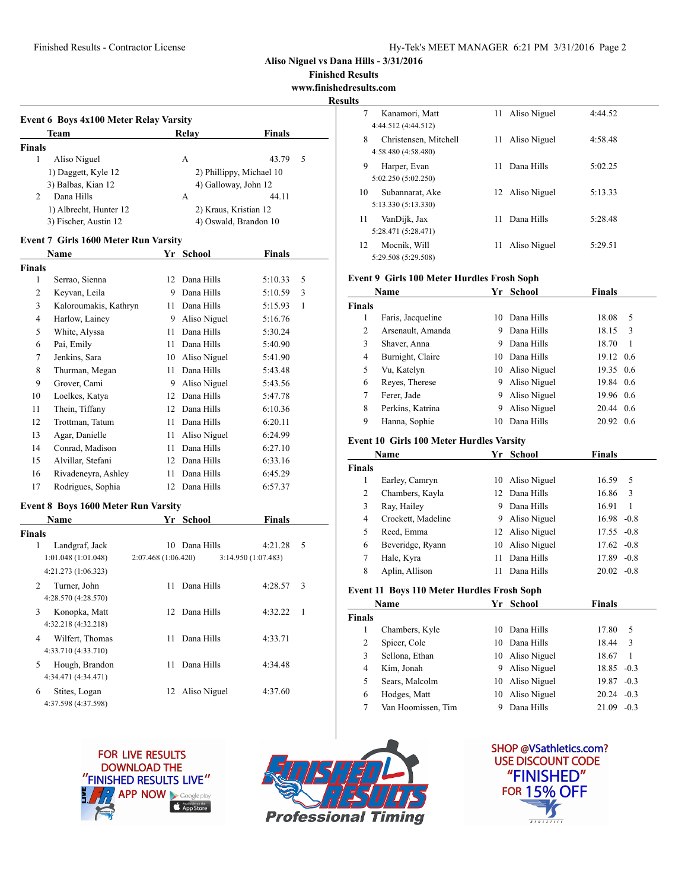### Finished Results - Contractor License Hy-Tek's MEET MANAGER 6:21 PM 3/31/2016 Page 2

**Aliso Niguel vs Dana Hills - 3/31/2016**

**Finished Results**

**www.finishedresults.com**

**Results Event 6 Boys 4x100 Meter Relay Varsity Team Relay Finals Finals** 1 Aliso Niguel **A** 43.79 5 1) Daggett, Kyle 12 2) Phillippy, Michael 10 3) Balbas, Kian 12 4) Galloway, John 12 2 Dana Hills A 44.11 1) Albrecht, Hunter 12 2) Kraus, Kristian 12 3) Fischer, Austin 12 4) Oswald, Brandon 10 **Event 7 Girls 1600 Meter Run Varsity Name Yr School Finals Finals** 1 Serrao, Sienna 12 Dana Hills 5:10.33 5 2 Keyvan, Leila 9 Dana Hills 5:10.59 3

| 3  | Kaloroumakis, Kathryn | 11 | Dana Hills   | 5:15.93 | 1 |
|----|-----------------------|----|--------------|---------|---|
| 4  | Harlow, Lainey        | 9  | Aliso Niguel | 5:16.76 |   |
| 5  | White, Alyssa         | 11 | Dana Hills   | 5:30.24 |   |
| 6  | Pai, Emily            | 11 | Dana Hills   | 5:40.90 |   |
| 7  | Jenkins, Sara         | 10 | Aliso Niguel | 5:41.90 |   |
| 8  | Thurman, Megan        | 11 | Dana Hills   | 5:43.48 |   |
| 9  | Grover, Cami          | 9  | Aliso Niguel | 5:43.56 |   |
| 10 | Loelkes, Katya        | 12 | Dana Hills   | 5:47.78 |   |
| 11 | Thein, Tiffany        | 12 | Dana Hills   | 6:10.36 |   |
| 12 | Trottman, Tatum       | 11 | Dana Hills   | 6:20.11 |   |
| 13 | Agar, Danielle        | 11 | Aliso Niguel | 6:24.99 |   |
| 14 | Conrad, Madison       | 11 | Dana Hills   | 6:27.10 |   |
| 15 | Alvillar, Stefani     | 12 | Dana Hills   | 6:33.16 |   |
| 16 | Rivadeneyra, Ashley   | 11 | Dana Hills   | 6:45.29 |   |
| 17 | Rodrigues, Sophia     | 12 | Dana Hills   | 6:57.37 |   |

#### **Event 8 Boys 1600 Meter Run Varsity**

| <b>Name</b>                                          | Yr                 | <b>School</b> | <b>Finals</b>      |    |
|------------------------------------------------------|--------------------|---------------|--------------------|----|
| <b>Finals</b>                                        |                    |               |                    |    |
| Landgraf, Jack<br>1                                  | 10                 | Dana Hills    | 4:21.28            | 5  |
| 1:01.048(1:01.048)                                   | 2:07.468(1:06.420) |               | 3:14.950(1:07.483) |    |
| 4:21.273 (1:06.323)                                  |                    |               |                    |    |
| $\mathcal{L}$<br>Turner, John<br>4:28.570 (4:28.570) | 11                 | Dana Hills    | 4:28.57            | 3  |
| 3<br>Konopka, Matt                                   |                    | 12 Dana Hills | 4:32.22            | -1 |
| 4:32.218 (4:32.218)                                  |                    |               |                    |    |
| Wilfert, Thomas<br>4                                 | 11                 | Dana Hills    | 4:33.71            |    |
| 4:33.710 (4:33.710)                                  |                    |               |                    |    |
| 5<br>Hough, Brandon                                  | 11                 | Dana Hills    | 4:34.48            |    |
| 4:34.471 (4:34.471)                                  |                    |               |                    |    |
| 6<br>Stites, Logan                                   | 12                 | Aliso Niguel  | 4:37.60            |    |
| 4:37.598 (4:37.598)                                  |                    |               |                    |    |

| 7  | Kanamori, Matt<br>4:44.512 (4:44.512)        | 11 | Aliso Niguel    | 4:44.52 |
|----|----------------------------------------------|----|-----------------|---------|
| 8  | Christensen, Mitchell<br>4:58.480 (4:58.480) | 11 | Aliso Niguel    | 4:58.48 |
| 9  | Harper, Evan<br>5:02.250 (5:02.250)          | 11 | Dana Hills      | 5:02.25 |
| 10 | Subannarat, Ake<br>5:13.330 (5:13.330)       |    | 12 Aliso Niguel | 5:13.33 |
| 11 | VanDijk, Jax<br>5:28.471 (5:28.471)          | 11 | Dana Hills      | 5:28.48 |
| 12 | Moenik, Will<br>5:29.508 (5:29.508)          | 11 | Aliso Niguel    | 5:29.51 |

#### **Event 9 Girls 100 Meter Hurdles Frosh Soph**

|               | Name              | Yг | School          | Finals    |     |
|---------------|-------------------|----|-----------------|-----------|-----|
| <b>Finals</b> |                   |    |                 |           |     |
| 1             | Faris, Jacqueline | 10 | Dana Hills      | 18.08     | 5   |
| 2             | Arsenault, Amanda | 9  | Dana Hills      | 18.15     | 3   |
| 3             | Shaver, Anna      | 9  | Dana Hills      | 18.70     | 1   |
| 4             | Burnight, Claire  | 10 | Dana Hills      | 19.12 0.6 |     |
| 5             | Vu, Katelyn       |    | 10 Aliso Niguel | 19.35 0.6 |     |
| 6             | Reyes, Therese    | 9  | Aliso Niguel    | 19.84 0.6 |     |
| 7             | Ferer, Jade       | 9  | Aliso Niguel    | 19.96 0.6 |     |
| 8             | Perkins, Katrina  | 9  | Aliso Niguel    | 20.44 0.6 |     |
| 9             | Hanna, Sophie     | 10 | Dana Hills      | 20.92     | 0.6 |

#### **Event 10 Girls 100 Meter Hurdles Varsity**

|               | Name               |    | Yr School       | <b>Finals</b>   |  |
|---------------|--------------------|----|-----------------|-----------------|--|
| <b>Finals</b> |                    |    |                 |                 |  |
| 1             | Earley, Camryn     |    | 10 Aliso Niguel | 16.59<br>5      |  |
| 2             | Chambers, Kayla    |    | 12 Dana Hills   | 16.86<br>3      |  |
| 3             | Ray, Hailey        | 9  | Dana Hills      | 16.91<br>1      |  |
| 4             | Crockett, Madeline | 9. | Aliso Niguel    | $16.98 - 0.8$   |  |
| 5             | Reed, Emma         |    | 12 Aliso Niguel | $17.55 - 0.8$   |  |
| 6             | Beveridge, Ryann   | 10 | Aliso Niguel    | $17.62 -0.8$    |  |
| 7             | Hale, Kyra         | 11 | Dana Hills      | 17.89<br>$-0.8$ |  |
| 8             | Aplin, Allison     | 11 | Dana Hills      | 20.02<br>$-0.8$ |  |

### **Event 11 Boys 110 Meter Hurdles Frosh Soph**

|               | Name               |    | Yr School       | Finals          |
|---------------|--------------------|----|-----------------|-----------------|
| <b>Finals</b> |                    |    |                 |                 |
|               | Chambers, Kyle     | 10 | Dana Hills      | 17.80<br>5      |
| 2             | Spicer, Cole       | 10 | Dana Hills      | 18.44<br>3      |
| 3             | Sellona, Ethan     |    | 10 Aliso Niguel | 18.67<br>-1     |
| 4             | Kim, Jonah         |    | 9 Aliso Niguel  | $18.85 - 0.3$   |
| 5             | Sears, Malcolm     |    | 10 Aliso Niguel | 19.87<br>$-0.3$ |
| 6             | Hodges, Matt       | 10 | Aliso Niguel    | $20.24 - 0.3$   |
|               | Van Hoomissen, Tim |    | Dana Hills      | $-0.3$<br>21.09 |





**SHOP @VSathletics.com? USE DISCOUNT CODE** "FINISHED" **FOR 15% OFF**  $\overline{a + u + r}$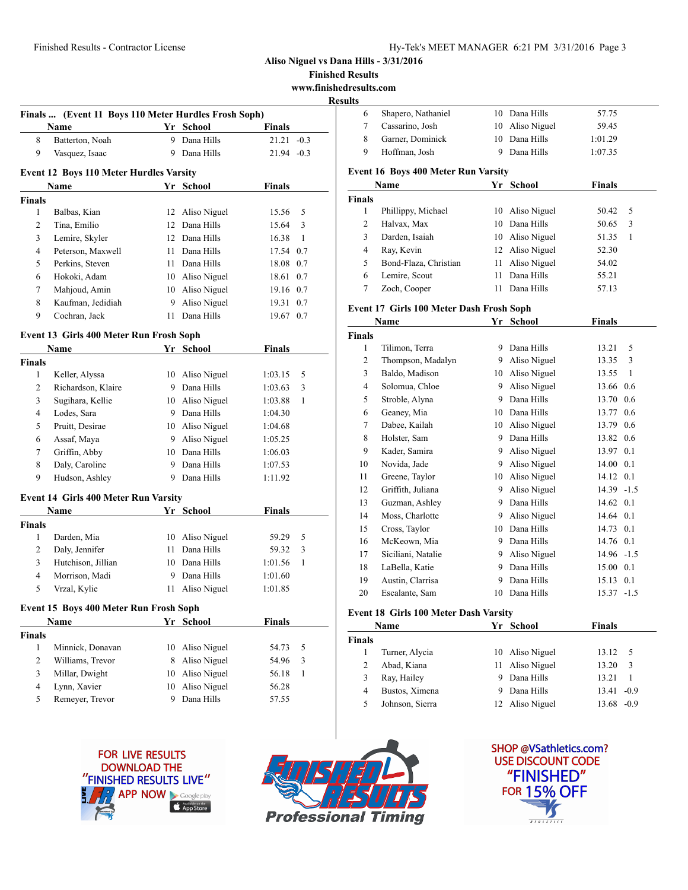**Finished Results**

**www.finishedresults.com**

#### **Results**

|   | Finals  (Event 11 Boys 110 Meter Hurdles Frosh Soph) |              |               |
|---|------------------------------------------------------|--------------|---------------|
|   | Name                                                 | Yr School    | <b>Finals</b> |
| 8 | Batterton, Noah                                      | 9 Dana Hills | $21.21 - 0.3$ |
| 9 | Vasquez, Isaac                                       | 9 Dana Hills | $21.94 - 0.3$ |
|   |                                                      |              |               |

## **Event 12 Boys 110 Meter Hurdles Varsity**

| <b>Name</b>   |                   |    | Yr School       | <b>Finals</b> |     |
|---------------|-------------------|----|-----------------|---------------|-----|
| <b>Finals</b> |                   |    |                 |               |     |
| 1             | Balbas, Kian      |    | 12 Aliso Niguel | 15.56         | .5  |
| 2             | Tina, Emilio      |    | 12 Dana Hills   | 15.64         | 3   |
| 3             | Lemire, Skyler    |    | 12 Dana Hills   | 16.38         |     |
| 4             | Peterson, Maxwell | 11 | Dana Hills      | 17.54 0.7     |     |
| 5             | Perkins, Steven   | 11 | Dana Hills      | 18.08 0.7     |     |
| 6             | Hokoki, Adam      | 10 | Aliso Niguel    | 18.61 0.7     |     |
| 7             | Mahjoud, Amin     | 10 | Aliso Niguel    | 19.16 0.7     |     |
| 8             | Kaufman, Jedidiah | 9  | Aliso Niguel    | 19.31         | 0.7 |
| 9             | Cochran, Jack     | 11 | Dana Hills      | 19.67         | 0.7 |

### **Event 13 Girls 400 Meter Run Frosh Soph**

|                | Name                                        | Yr | School       | Finals        |   |
|----------------|---------------------------------------------|----|--------------|---------------|---|
| <b>Finals</b>  |                                             |    |              |               |   |
| 1              | Keller, Alyssa                              | 10 | Aliso Niguel | 1:03.15       | 5 |
| $\overline{2}$ | Richardson, Klaire                          | 9  | Dana Hills   | 1:03.63       | 3 |
| 3              | Sugihara, Kellie                            | 10 | Aliso Niguel | 1:03.88       | 1 |
| 4              | Lodes, Sara                                 | 9  | Dana Hills   | 1:04.30       |   |
| 5              | Pruitt, Desirae                             | 10 | Aliso Niguel | 1:04.68       |   |
| 6              | Assaf, Maya                                 | 9  | Aliso Niguel | 1:05.25       |   |
| 7              | Griffin, Abby                               | 10 | Dana Hills   | 1:06.03       |   |
| 8              | Daly, Caroline                              | 9  | Dana Hills   | 1:07.53       |   |
| 9              | Hudson, Ashley                              | 9  | Dana Hills   | 1:11.92       |   |
|                | <b>Event 14 Girls 400 Meter Run Varsity</b> |    |              |               |   |
|                | <b>Name</b>                                 | Yr | School       | <b>Finals</b> |   |
| <b>Finals</b>  |                                             |    |              |               |   |
| 1              | Darden, Mia                                 | 10 | Aliso Niguel | 59.29         | 5 |
| 2              | Daly, Jennifer                              | 11 | Dana Hills   | 59.32         | 3 |
| 3              | Hutchison, Jillian                          | 10 | Dana Hills   | 1:01.56       | 1 |
| 4              | Morrison, Madi                              | 9  | Dana Hills   | 1:01.60       |   |
| 5              | Vrzal, Kylie                                | 11 | Aliso Niguel | 1:01.85       |   |
|                | Event 15 Boys 400 Meter Run Frosh Soph      |    |              |               |   |
|                | Name                                        | Yr | School       | Finals        |   |

| <b>Finals</b> |                  |                 |       |     |  |
|---------------|------------------|-----------------|-------|-----|--|
|               | Minnick, Donavan | 10 Aliso Niguel | 54.73 | - 5 |  |
| 2             | Williams, Trevor | 8 Aliso Niguel  | 54.96 | -3  |  |
| 3             | Millar, Dwight   | 10 Aliso Niguel | 56.18 |     |  |
| 4             | Lynn, Xavier     | 10 Aliso Niguel | 56.28 |     |  |
| 5             | Remever, Trevor  | Dana Hills      | 57.55 |     |  |
|               |                  |                 |       |     |  |

|   | Shapero, Nathaniel | 10 Dana Hills   | 57.75   |  |
|---|--------------------|-----------------|---------|--|
|   | Cassarino, Josh    | 10 Aliso Niguel | 59.45   |  |
|   | Garner, Dominick   | 10 Dana Hills   | 1:01.29 |  |
| 9 | Hoffman, Josh      | 9 Dana Hills    | 1:07.35 |  |
|   |                    |                 |         |  |

#### **Event 16 Boys 400 Meter Run Varsity**

|        | Name                  |    | Yr School       | Finals |     |
|--------|-----------------------|----|-----------------|--------|-----|
| Finals |                       |    |                 |        |     |
|        | Phillippy, Michael    |    | 10 Aliso Niguel | 50.42  | - 5 |
| 2      | Halvax, Max           | 10 | Dana Hills      | 50.65  | 3   |
| 3      | Darden, Isaiah        |    | 10 Aliso Niguel | 51.35  | 1   |
| 4      | Ray, Kevin            |    | 12 Aliso Niguel | 52.30  |     |
| 5      | Bond-Flaza, Christian |    | 11 Aliso Niguel | 54.02  |     |
| 6      | Lemire, Scout         | 11 | Dana Hills      | 55.21  |     |
|        | Zoch, Cooper          |    | Dana Hills      | 57.13  |     |

## **Event 17 Girls 100 Meter Dash Frosh Soph**

|                | Name               | Yr | <b>School</b> | <b>Finals</b> |        |
|----------------|--------------------|----|---------------|---------------|--------|
| <b>Finals</b>  |                    |    |               |               |        |
| 1              | Tilimon, Terra     | 9  | Dana Hills    | 13.21         | 5      |
| 2              | Thompson, Madalyn  | 9  | Aliso Niguel  | 13.35         | 3      |
| 3              | Baldo, Madison     | 10 | Aliso Niguel  | 13.55         | 1      |
| $\overline{4}$ | Solomua, Chloe     | 9  | Aliso Niguel  | 13.66         | 0.6    |
| 5              | Stroble, Alyna     | 9  | Dana Hills    | 13.70         | 0.6    |
| 6              | Geaney, Mia        | 10 | Dana Hills    | 13.77         | 0.6    |
| 7              | Dabee, Kailah      | 10 | Aliso Niguel  | 13.79         | 0.6    |
| 8              | Holster, Sam       | 9  | Dana Hills    | 13.82         | 0.6    |
| 9              | Kader, Samira      | 9  | Aliso Niguel  | 13.97         | 0.1    |
| 10             | Novida, Jade       | 9  | Aliso Niguel  | 14.00         | 0.1    |
| 11             | Greene, Taylor     | 10 | Aliso Niguel  | 14.12         | 0.1    |
| 12             | Griffith, Juliana  | 9  | Aliso Niguel  | 14.39         | $-1.5$ |
| 13             | Guzman, Ashley     | 9  | Dana Hills    | 14.62         | 0.1    |
| 14             | Moss, Charlotte    | 9  | Aliso Niguel  | 14.64         | 0.1    |
| 15             | Cross, Taylor      | 10 | Dana Hills    | 14.73         | 0.1    |
| 16             | McKeown, Mia       | 9  | Dana Hills    | 14.76         | 0.1    |
| 17             | Siciliani, Natalie | 9  | Aliso Niguel  | 14.96         | $-1.5$ |
| 18             | LaBella, Katie     | 9  | Dana Hills    | 15.00         | 0.1    |
| 19             | Austin, Clarrisa   | 9  | Dana Hills    | 15.13         | 0.1    |
| 20             | Escalante, Sam     | 10 | Dana Hills    | 15.37         | $-1.5$ |
|                |                    |    |               |               |        |

# **Event 18 Girls 100 Meter Dash Varsity**

|        | Name            |   | Yr School       | <b>Finals</b>   |  |
|--------|-----------------|---|-----------------|-----------------|--|
| Finals |                 |   |                 |                 |  |
|        | Turner, Alycia  |   | 10 Aliso Niguel | 13.12<br>- 5    |  |
|        | Abad, Kiana     |   | 11 Aliso Niguel | 13.20<br>3      |  |
|        | Ray, Hailey     | 9 | Dana Hills      | 13.21           |  |
| 4      | Bustos, Ximena  | 9 | Dana Hills      | 13.41<br>$-0.9$ |  |
|        | Johnson, Sierra |   | 12 Aliso Niguel | $-0.9$<br>13.68 |  |





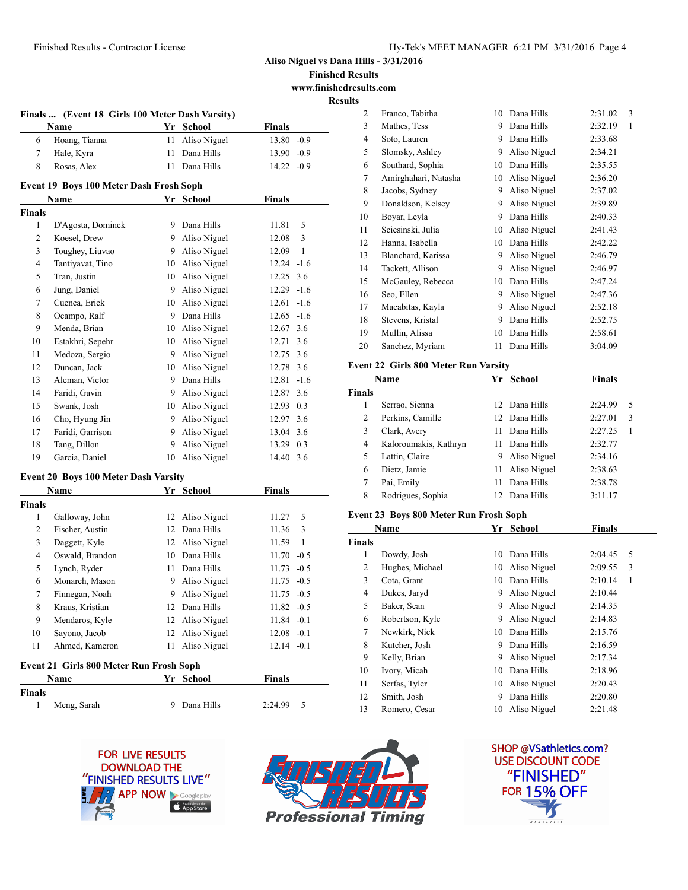**Finished Results www.finishedresults.com**

**Results**

|                | Finals  (Event 18 Girls 100 Meter Dash Varsity) |    |                 |               |              |
|----------------|-------------------------------------------------|----|-----------------|---------------|--------------|
|                | Name                                            |    | Yr School       | <b>Finals</b> |              |
| 6              | Hoang, Tianna                                   | 11 | Aliso Niguel    | 13.80 -0.9    |              |
| 7              | Hale, Kyra                                      | 11 | Dana Hills      | $13.90 -0.9$  |              |
| 8              | Rosas, Alex                                     | 11 | Dana Hills      | $14.22 - 0.9$ |              |
|                | Event 19 Boys 100 Meter Dash Frosh Soph         |    |                 |               |              |
|                | Name                                            |    | Yr School       | <b>Finals</b> |              |
| <b>Finals</b>  |                                                 |    |                 |               |              |
| 1              | D'Agosta, Dominck                               | 9  | Dana Hills      | 11.81         | 5            |
| $\overline{2}$ | Koesel, Drew                                    |    | 9 Aliso Niguel  | 12.08         | 3            |
| 3              | Toughey, Liuvao                                 |    | 9 Aliso Niguel  | 12.09         | $\mathbf{1}$ |
| 4              | Tantiyavat, Tino                                |    | 10 Aliso Niguel | $12.24 - 1.6$ |              |
| 5              | Tran, Justin                                    |    | 10 Aliso Niguel | 12.25         | 3.6          |
| 6              | Jung, Daniel                                    | 9  | Aliso Niguel    | $12.29 - 1.6$ |              |
| 7              | Cuenca, Erick                                   | 10 | Aliso Niguel    | 12.61         | $-1.6$       |
| 8              | Ocampo, Ralf                                    | 9  | Dana Hills      | $12.65 - 1.6$ |              |
| 9              | Menda, Brian                                    | 10 | Aliso Niguel    | 12.67 3.6     |              |
| 10             | Estakhri, Sepehr                                | 10 | Aliso Niguel    | 12.71         | 3.6          |
| 11             | Medoza, Sergio                                  | 9  | Aliso Niguel    | 12.75 3.6     |              |
| 12             | Duncan, Jack                                    | 10 | Aliso Niguel    | 12.78         | 3.6          |
| 13             | Aleman, Victor                                  | 9  | Dana Hills      | 12.81         | $-1.6$       |
| 14             | Faridi, Gavin                                   |    | 9 Aliso Niguel  | 12.87 3.6     |              |
| 15             | Swank, Josh                                     | 10 | Aliso Niguel    | 12.93 0.3     |              |
| 16             | Cho, Hyung Jin                                  | 9  | Aliso Niguel    | 12.97 3.6     |              |
| 17             | Faridi, Garrison                                | 9. | Aliso Niguel    | 13.04 3.6     |              |
| 18             | Tang, Dillon                                    | 9  | Aliso Niguel    | 13.29 0.3     |              |
| 19             | Garcia, Daniel                                  |    | 10 Aliso Niguel | 14.40 3.6     |              |
|                | <b>Event 20 Boys 100 Meter Dash Varsity</b>     |    |                 |               |              |
|                | Name                                            |    | Yr School       | <b>Finals</b> |              |
| <b>Finals</b>  |                                                 |    |                 |               |              |
| 1              | Galloway, John                                  | 12 | Aliso Niguel    | 11.27         | 5            |
| 2              | Fischer, Austin                                 | 12 | Dana Hills      | 11.36         | 3            |
| 3              | Daggett, Kyle                                   | 12 | Aliso Niguel    | 11.59         | 1            |
| 4              | Oswald, Brandon                                 | 10 | Dana Hills      | 11.70         | $-0.5$       |
| 5              | Lynch, Ryder                                    | 11 | Dana Hills      | 11.73         | $-0.5$       |
| 6              | Monarch, Mason                                  | 9  | Aliso Niguel    | 11.75         | $-0.5$       |
| 7              | Finnegan, Noah                                  | 9  | Aliso Niguel    | 11.75         | $-0.5$       |
| 8              | Kraus, Kristian                                 |    | 12 Dana Hills   | $11.82 -0.5$  |              |
| 9              | Mendaros, Kyle                                  |    | 12 Aliso Niguel | $11.84 - 0.1$ |              |
| 10             | Sayono, Jacob                                   | 12 | Aliso Niguel    | $12.08 - 0.1$ |              |
| 11             | Ahmed, Kameron                                  | 11 | Aliso Niguel    | $12.14 - 0.1$ |              |
|                | Event 21 Girls 800 Meter Run Frosh Soph         |    |                 |               |              |
|                | Name                                            |    | Yr School       | <b>Finals</b> |              |
| Finals         |                                                 |    |                 |               |              |
| 1              | Meng, Sarah                                     |    | 9 Dana Hills    | 2:24.99       | 5            |





| Ś              |                      |    |              |         |   |
|----------------|----------------------|----|--------------|---------|---|
| 2              | Franco, Tabitha      | 10 | Dana Hills   | 2:31.02 | 3 |
| 3              | Mathes, Tess         | 9  | Dana Hills   | 2:32.19 | 1 |
| $\overline{4}$ | Soto, Lauren         | 9  | Dana Hills   | 2:33.68 |   |
| 5              | Slomsky, Ashley      | 9  | Aliso Niguel | 2:34.21 |   |
| 6              | Southard, Sophia     | 10 | Dana Hills   | 2:35.55 |   |
| 7              | Amirghahari, Natasha | 10 | Aliso Niguel | 2:36.20 |   |
| 8              | Jacobs, Sydney       | 9  | Aliso Niguel | 2:37.02 |   |
| 9              | Donaldson, Kelsey    | 9  | Aliso Niguel | 2:39.89 |   |
| 10             | Boyar, Leyla         | 9  | Dana Hills   | 2:40.33 |   |
| 11             | Sciesinski, Julia    | 10 | Aliso Niguel | 2:41.43 |   |
| 12             | Hanna, Isabella      | 10 | Dana Hills   | 2:42.22 |   |
| 13             | Blanchard, Karissa   | 9  | Aliso Niguel | 2:46.79 |   |
| 14             | Tackett, Allison     | 9  | Aliso Niguel | 2:46.97 |   |
| 15             | McGauley, Rebecca    | 10 | Dana Hills   | 2:47.24 |   |
| 16             | Seo, Ellen           | 9  | Aliso Niguel | 2:47.36 |   |
| 17             | Macabitas, Kayla     | 9  | Aliso Niguel | 2:52.18 |   |
| 18             | Stevens, Kristal     | 9  | Dana Hills   | 2:52.75 |   |
| 19             | Mullin, Alissa       | 10 | Dana Hills   | 2:58.61 |   |
| 20             | Sanchez, Myriam      | 11 | Dana Hills   | 3:04.09 |   |
|                |                      |    |              |         |   |

## **Event 22 Girls 800 Meter Run Varsity**

| Name          |                       | Yr  | School        | Finals  |   |
|---------------|-----------------------|-----|---------------|---------|---|
| <b>Finals</b> |                       |     |               |         |   |
| 1             | Serrao, Sienna        |     | 12 Dana Hills | 2:24.99 | 5 |
| 2             | Perkins, Camille      |     | 12 Dana Hills | 2:27.01 | 3 |
| 3             | Clark, Avery          | 11  | Dana Hills    | 2:27.25 | 1 |
| 4             | Kaloroumakis, Kathryn | 11  | Dana Hills    | 2:32.77 |   |
| 5             | Lattin, Claire        | 9   | Aliso Niguel  | 2:34.16 |   |
| 6             | Dietz, Jamie          | 11  | Aliso Niguel  | 2:38.63 |   |
| 7             | Pai, Emily            | 11  | Dana Hills    | 2:38.78 |   |
| 8             | Rodrigues, Sophia     | 12. | Dana Hills    | 3:11.17 |   |

### **Event 23 Boys 800 Meter Run Frosh Soph**

| Name          |                 | Yr | <b>School</b> | <b>Finals</b> |   |
|---------------|-----------------|----|---------------|---------------|---|
| <b>Finals</b> |                 |    |               |               |   |
| 1             | Dowdy, Josh     | 10 | Dana Hills    | 2:04.45       | 5 |
| 2             | Hughes, Michael | 10 | Aliso Niguel  | 2:09.55       | 3 |
| 3             | Cota, Grant     | 10 | Dana Hills    | 2:10.14       | 1 |
| 4             | Dukes, Jaryd    | 9  | Aliso Niguel  | 2:10.44       |   |
| 5             | Baker, Sean     | 9  | Aliso Niguel  | 2:14.35       |   |
| 6             | Robertson, Kyle | 9  | Aliso Niguel  | 2:14.83       |   |
| 7             | Newkirk, Nick   | 10 | Dana Hills    | 2:15.76       |   |
| 8             | Kutcher, Josh   | 9  | Dana Hills    | 2:16.59       |   |
| 9             | Kelly, Brian    | 9  | Aliso Niguel  | 2:17.34       |   |
| 10            | Ivory, Micah    | 10 | Dana Hills    | 2:18.96       |   |
| 11            | Serfas, Tyler   | 10 | Aliso Niguel  | 2:20.43       |   |
| 12            | Smith, Josh     | 9  | Dana Hills    | 2:20.80       |   |
| 13            | Romero, Cesar   | 10 | Aliso Niguel  | 2:21.48       |   |

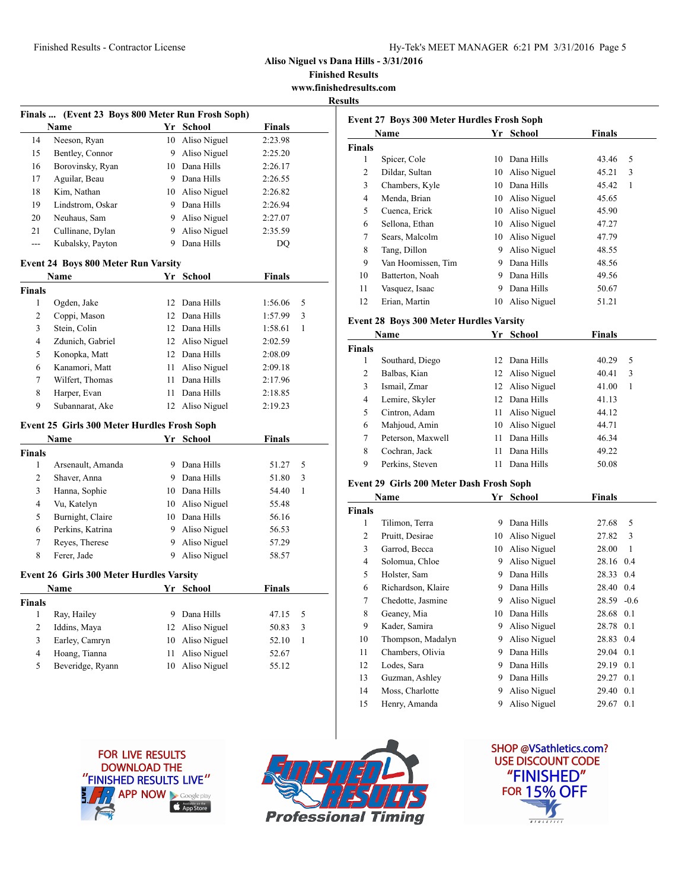### Finished Results - Contractor License Hy-Tek's MEET MANAGER 6:21 PM 3/31/2016 Page 5

**Aliso Niguel vs Dana Hills - 3/31/2016**

**Finished Results www.finishedresults.com**

**Results**

| Name<br>Neeson, Ryan<br>Bentley, Connor<br>Borovinsky, Ryan<br>Aguilar, Beau<br>Kim, Nathan<br>Lindstrom, Oskar<br>Neuhaus, Sam<br>Cullinane, Dylan<br>Kubalsky, Payton<br><b>Event 24 Boys 800 Meter Run Varsity</b><br>Name<br>Ogden, Jake<br>Coppi, Mason<br>Stein, Colin<br>Zdunich, Gabriel<br>Konopka, Matt<br>Kanamori, Matt<br>Wilfert, Thomas<br>Harper, Evan | 9.<br>11<br>11<br>11                                                                                                                                                                                                             | Yr School<br>10 Aliso Niguel<br>Aliso Niguel<br>10 Dana Hills<br>9 Dana Hills<br>10 Aliso Niguel<br>9 Dana Hills<br>9 Aliso Niguel<br>9 Aliso Niguel<br>9 Dana Hills<br>Yr School<br>12 Dana Hills<br>12 Dana Hills<br>12 Dana Hills<br>12 Aliso Niguel<br>12 Dana Hills<br>Aliso Niguel<br>Dana Hills | <b>Finals</b><br>2:23.98<br>2:25.20<br>2:26.17<br>2:26.55<br>2:26.82<br>2:26.94<br>2:27.07<br>2:35.59<br>DO<br><b>Finals</b><br>1:56.06<br>1:57.99<br>1:58.61<br>2:02.59<br>2:08.09<br>2:09.18<br>2:17.96                                                                           | 5<br>3<br>1                                                                                              |
|------------------------------------------------------------------------------------------------------------------------------------------------------------------------------------------------------------------------------------------------------------------------------------------------------------------------------------------------------------------------|----------------------------------------------------------------------------------------------------------------------------------------------------------------------------------------------------------------------------------|--------------------------------------------------------------------------------------------------------------------------------------------------------------------------------------------------------------------------------------------------------------------------------------------------------|-------------------------------------------------------------------------------------------------------------------------------------------------------------------------------------------------------------------------------------------------------------------------------------|----------------------------------------------------------------------------------------------------------|
|                                                                                                                                                                                                                                                                                                                                                                        |                                                                                                                                                                                                                                  |                                                                                                                                                                                                                                                                                                        |                                                                                                                                                                                                                                                                                     |                                                                                                          |
|                                                                                                                                                                                                                                                                                                                                                                        |                                                                                                                                                                                                                                  |                                                                                                                                                                                                                                                                                                        |                                                                                                                                                                                                                                                                                     |                                                                                                          |
|                                                                                                                                                                                                                                                                                                                                                                        |                                                                                                                                                                                                                                  |                                                                                                                                                                                                                                                                                                        |                                                                                                                                                                                                                                                                                     |                                                                                                          |
|                                                                                                                                                                                                                                                                                                                                                                        |                                                                                                                                                                                                                                  |                                                                                                                                                                                                                                                                                                        |                                                                                                                                                                                                                                                                                     |                                                                                                          |
|                                                                                                                                                                                                                                                                                                                                                                        |                                                                                                                                                                                                                                  |                                                                                                                                                                                                                                                                                                        |                                                                                                                                                                                                                                                                                     |                                                                                                          |
|                                                                                                                                                                                                                                                                                                                                                                        |                                                                                                                                                                                                                                  |                                                                                                                                                                                                                                                                                                        |                                                                                                                                                                                                                                                                                     |                                                                                                          |
|                                                                                                                                                                                                                                                                                                                                                                        |                                                                                                                                                                                                                                  |                                                                                                                                                                                                                                                                                                        |                                                                                                                                                                                                                                                                                     |                                                                                                          |
|                                                                                                                                                                                                                                                                                                                                                                        |                                                                                                                                                                                                                                  |                                                                                                                                                                                                                                                                                                        |                                                                                                                                                                                                                                                                                     |                                                                                                          |
|                                                                                                                                                                                                                                                                                                                                                                        |                                                                                                                                                                                                                                  |                                                                                                                                                                                                                                                                                                        |                                                                                                                                                                                                                                                                                     |                                                                                                          |
|                                                                                                                                                                                                                                                                                                                                                                        |                                                                                                                                                                                                                                  |                                                                                                                                                                                                                                                                                                        |                                                                                                                                                                                                                                                                                     |                                                                                                          |
|                                                                                                                                                                                                                                                                                                                                                                        |                                                                                                                                                                                                                                  |                                                                                                                                                                                                                                                                                                        |                                                                                                                                                                                                                                                                                     |                                                                                                          |
|                                                                                                                                                                                                                                                                                                                                                                        |                                                                                                                                                                                                                                  |                                                                                                                                                                                                                                                                                                        |                                                                                                                                                                                                                                                                                     |                                                                                                          |
|                                                                                                                                                                                                                                                                                                                                                                        |                                                                                                                                                                                                                                  |                                                                                                                                                                                                                                                                                                        |                                                                                                                                                                                                                                                                                     |                                                                                                          |
|                                                                                                                                                                                                                                                                                                                                                                        |                                                                                                                                                                                                                                  |                                                                                                                                                                                                                                                                                                        |                                                                                                                                                                                                                                                                                     |                                                                                                          |
|                                                                                                                                                                                                                                                                                                                                                                        |                                                                                                                                                                                                                                  |                                                                                                                                                                                                                                                                                                        |                                                                                                                                                                                                                                                                                     |                                                                                                          |
|                                                                                                                                                                                                                                                                                                                                                                        |                                                                                                                                                                                                                                  |                                                                                                                                                                                                                                                                                                        |                                                                                                                                                                                                                                                                                     |                                                                                                          |
|                                                                                                                                                                                                                                                                                                                                                                        |                                                                                                                                                                                                                                  |                                                                                                                                                                                                                                                                                                        |                                                                                                                                                                                                                                                                                     |                                                                                                          |
|                                                                                                                                                                                                                                                                                                                                                                        |                                                                                                                                                                                                                                  |                                                                                                                                                                                                                                                                                                        |                                                                                                                                                                                                                                                                                     |                                                                                                          |
|                                                                                                                                                                                                                                                                                                                                                                        |                                                                                                                                                                                                                                  |                                                                                                                                                                                                                                                                                                        |                                                                                                                                                                                                                                                                                     |                                                                                                          |
|                                                                                                                                                                                                                                                                                                                                                                        |                                                                                                                                                                                                                                  | Dana Hills                                                                                                                                                                                                                                                                                             | 2:18.85                                                                                                                                                                                                                                                                             |                                                                                                          |
| Subannarat, Ake                                                                                                                                                                                                                                                                                                                                                        | 12                                                                                                                                                                                                                               | Aliso Niguel                                                                                                                                                                                                                                                                                           | 2:19.23                                                                                                                                                                                                                                                                             |                                                                                                          |
| Event 25 Girls 300 Meter Hurdles Frosh Soph                                                                                                                                                                                                                                                                                                                            |                                                                                                                                                                                                                                  |                                                                                                                                                                                                                                                                                                        |                                                                                                                                                                                                                                                                                     |                                                                                                          |
| Name                                                                                                                                                                                                                                                                                                                                                                   |                                                                                                                                                                                                                                  | Yr School                                                                                                                                                                                                                                                                                              | <b>Finals</b>                                                                                                                                                                                                                                                                       |                                                                                                          |
|                                                                                                                                                                                                                                                                                                                                                                        |                                                                                                                                                                                                                                  |                                                                                                                                                                                                                                                                                                        |                                                                                                                                                                                                                                                                                     |                                                                                                          |
|                                                                                                                                                                                                                                                                                                                                                                        |                                                                                                                                                                                                                                  |                                                                                                                                                                                                                                                                                                        |                                                                                                                                                                                                                                                                                     | 5                                                                                                        |
|                                                                                                                                                                                                                                                                                                                                                                        |                                                                                                                                                                                                                                  |                                                                                                                                                                                                                                                                                                        |                                                                                                                                                                                                                                                                                     | 3                                                                                                        |
|                                                                                                                                                                                                                                                                                                                                                                        |                                                                                                                                                                                                                                  |                                                                                                                                                                                                                                                                                                        |                                                                                                                                                                                                                                                                                     | 1                                                                                                        |
|                                                                                                                                                                                                                                                                                                                                                                        |                                                                                                                                                                                                                                  |                                                                                                                                                                                                                                                                                                        |                                                                                                                                                                                                                                                                                     |                                                                                                          |
|                                                                                                                                                                                                                                                                                                                                                                        |                                                                                                                                                                                                                                  |                                                                                                                                                                                                                                                                                                        |                                                                                                                                                                                                                                                                                     |                                                                                                          |
|                                                                                                                                                                                                                                                                                                                                                                        |                                                                                                                                                                                                                                  |                                                                                                                                                                                                                                                                                                        |                                                                                                                                                                                                                                                                                     |                                                                                                          |
|                                                                                                                                                                                                                                                                                                                                                                        |                                                                                                                                                                                                                                  |                                                                                                                                                                                                                                                                                                        |                                                                                                                                                                                                                                                                                     |                                                                                                          |
|                                                                                                                                                                                                                                                                                                                                                                        |                                                                                                                                                                                                                                  |                                                                                                                                                                                                                                                                                                        |                                                                                                                                                                                                                                                                                     |                                                                                                          |
|                                                                                                                                                                                                                                                                                                                                                                        |                                                                                                                                                                                                                                  |                                                                                                                                                                                                                                                                                                        |                                                                                                                                                                                                                                                                                     |                                                                                                          |
| Name                                                                                                                                                                                                                                                                                                                                                                   |                                                                                                                                                                                                                                  |                                                                                                                                                                                                                                                                                                        | Finals                                                                                                                                                                                                                                                                              |                                                                                                          |
|                                                                                                                                                                                                                                                                                                                                                                        |                                                                                                                                                                                                                                  |                                                                                                                                                                                                                                                                                                        |                                                                                                                                                                                                                                                                                     |                                                                                                          |
|                                                                                                                                                                                                                                                                                                                                                                        |                                                                                                                                                                                                                                  |                                                                                                                                                                                                                                                                                                        |                                                                                                                                                                                                                                                                                     | 5                                                                                                        |
|                                                                                                                                                                                                                                                                                                                                                                        | 12                                                                                                                                                                                                                               |                                                                                                                                                                                                                                                                                                        |                                                                                                                                                                                                                                                                                     | 3                                                                                                        |
|                                                                                                                                                                                                                                                                                                                                                                        |                                                                                                                                                                                                                                  |                                                                                                                                                                                                                                                                                                        | 52.10                                                                                                                                                                                                                                                                               | $\mathbf{1}$                                                                                             |
|                                                                                                                                                                                                                                                                                                                                                                        |                                                                                                                                                                                                                                  |                                                                                                                                                                                                                                                                                                        |                                                                                                                                                                                                                                                                                     |                                                                                                          |
|                                                                                                                                                                                                                                                                                                                                                                        | Arsenault, Amanda<br>Shaver, Anna<br>Hanna, Sophie<br>Vu, Katelyn<br>Burnight, Claire<br>Perkins, Katrina<br>Reyes, Therese<br>Ferer, Jade<br>Ray, Hailey<br>Iddins, Maya<br>Earley, Camryn<br>Hoang, Tianna<br>Beveridge, Ryann | 9<br>9<br>10<br>11<br>10                                                                                                                                                                                                                                                                               | 9 Dana Hills<br>9 Dana Hills<br>10 Dana Hills<br>10 Aliso Niguel<br>10 Dana Hills<br>9 Aliso Niguel<br>9 Aliso Niguel<br>Aliso Niguel<br><b>Event 26 Girls 300 Meter Hurdles Varsity</b><br>Yr School<br>Dana Hills<br>Aliso Niguel<br>Aliso Niguel<br>Aliso Niguel<br>Aliso Niguel | 51.27<br>51.80<br>54.40<br>55.48<br>56.16<br>56.53<br>57.29<br>58.57<br>47.15<br>50.83<br>52.67<br>55.12 |

| Name   |                    | School<br>Yr |              | <b>Finals</b> |
|--------|--------------------|--------------|--------------|---------------|
| Finals |                    |              |              |               |
| 1      | Spicer, Cole       | 10           | Dana Hills   | 43.46         |
| 2      | Dildar, Sultan     | 10           | Aliso Niguel | 45.21         |
| 3      | Chambers, Kyle     | 10           | Dana Hills   | 45.42         |
| 4      | Menda, Brian       | 10           | Aliso Niguel | 45.65         |
| 5      | Cuenca, Erick      | 10           | Aliso Niguel | 45.90         |
| 6      | Sellona, Ethan     | 10           | Aliso Niguel | 47.27         |
| 7      | Sears, Malcolm     | 10           | Aliso Niguel | 47.79         |
| 8      | Tang, Dillon       | 9            | Aliso Niguel | 48.55         |
| 9      | Van Hoomissen, Tim | 9            | Dana Hills   | 48.56         |
| 10     | Batterton, Noah    | 9            | Dana Hills   | 49.56         |
| 11     | Vasquez, Isaac     | 9            | Dana Hills   | 50.67         |
| 12     | Erian, Martin      | 10           | Aliso Niguel | 51.21         |
|        |                    |              |              |               |

## **Event 28 Boys 300 Meter Hurdles Varsity**

| Name          |                   | Yr | School          | Finals |   |
|---------------|-------------------|----|-----------------|--------|---|
| <b>Finals</b> |                   |    |                 |        |   |
| 1             | Southard, Diego   | 12 | Dana Hills      | 40.29  | 5 |
| 2             | Balbas, Kian      |    | 12 Aliso Niguel | 40.41  | 3 |
| 3             | Ismail, Zmar      |    | 12 Aliso Niguel | 41.00  | 1 |
| 4             | Lemire, Skyler    | 12 | Dana Hills      | 41.13  |   |
| 5             | Cintron, Adam     | 11 | Aliso Niguel    | 44.12  |   |
| 6             | Mahjoud, Amin     | 10 | Aliso Niguel    | 44.71  |   |
| 7             | Peterson, Maxwell | 11 | Dana Hills      | 46.34  |   |
| 8             | Cochran, Jack     | 11 | Dana Hills      | 49.22  |   |
| 9             | Perkins, Steven   | 11 | Dana Hills      | 50.08  |   |

### **Event 29 Girls 200 Meter Dash Frosh Soph**

| Name          |                    | Yr | <b>School</b> | <b>Finals</b> |        |
|---------------|--------------------|----|---------------|---------------|--------|
| <b>Finals</b> |                    |    |               |               |        |
| 1             | Tilimon, Terra     | 9  | Dana Hills    | 27.68         | 5      |
| 2             | Pruitt, Desirae    | 10 | Aliso Niguel  | 27.82         | 3      |
| 3             | Garrod, Becca      | 10 | Aliso Niguel  | 28.00         | 1      |
| 4             | Solomua, Chloe     | 9  | Aliso Niguel  | 28.16 0.4     |        |
| 5             | Holster, Sam       | 9  | Dana Hills    | 28.33         | 0.4    |
| 6             | Richardson, Klaire | 9  | Dana Hills    | 28.40 0.4     |        |
| 7             | Chedotte, Jasmine  | 9  | Aliso Niguel  | 28.59         | $-0.6$ |
| 8             | Geaney, Mia        | 10 | Dana Hills    | 28.68 0.1     |        |
| 9             | Kader, Samira      | 9  | Aliso Niguel  | 28.78         | 0.1    |
| 10            | Thompson, Madalyn  | 9  | Aliso Niguel  | 28.83 0.4     |        |
| 11            | Chambers, Olivia   | 9  | Dana Hills    | 29.04 0.1     |        |
| 12            | Lodes, Sara        | 9  | Dana Hills    | 29.19         | 0.1    |
| 13            | Guzman, Ashley     | 9  | Dana Hills    | 29.27         | 0.1    |
| 14            | Moss, Charlotte    | 9  | Aliso Niguel  | 29.40         | 0.1    |
| 15            | Henry, Amanda      | 9  | Aliso Niguel  | 29.67         | 0.1    |





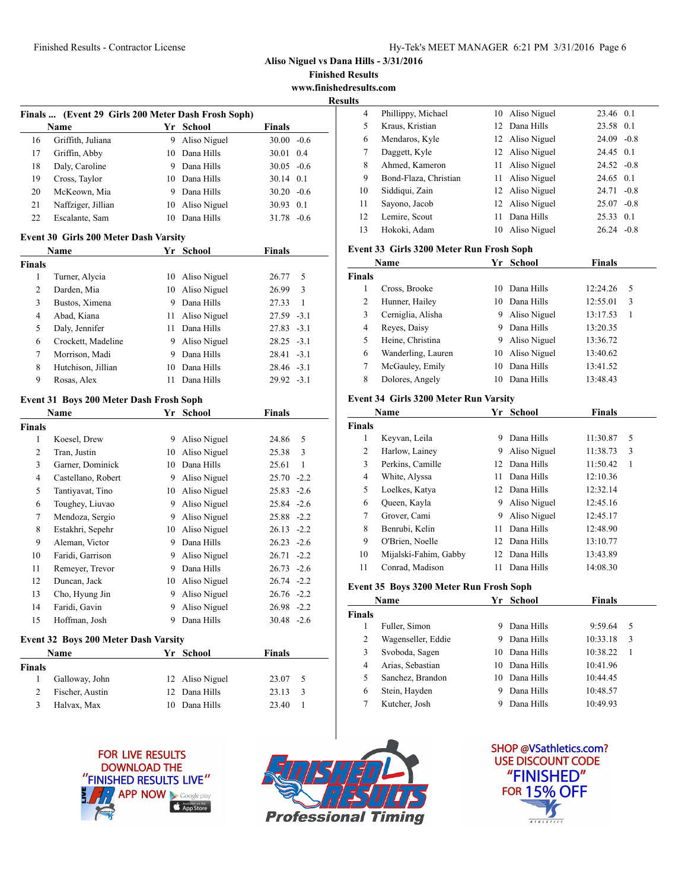**Aliso Niguel vs Dana Hills - 3/31/2016**

**Finished Results www.finishedresults.com**

**Results**

|    | Finals  (Event 29 Girls 200 Meter Dash Frosh Soph) |    |              |                   |  |
|----|----------------------------------------------------|----|--------------|-------------------|--|
|    | Name                                               | Yr | School       | Finals            |  |
| 16 | Griffith, Juliana                                  | 9  | Aliso Niguel | $30.00 - 0.6$     |  |
| 17 | Griffin, Abby                                      | 10 | Dana Hills   | 30.01<br>0.4      |  |
| 18 | Daly, Caroline                                     | 9  | Dana Hills   | $30.05 - 0.6$     |  |
| 19 | Cross, Taylor                                      | 10 | Dana Hills   | $30.14 \quad 0.1$ |  |
| 20 | McKeown, Mia                                       | 9  | Dana Hills   | $30.20 - 0.6$     |  |
| 21 | Naffziger, Jillian                                 | 10 | Aliso Niguel | 0.1<br>30.93      |  |
| 22 | Escalante, Sam                                     | 10 | Dana Hills   | $-06$<br>31.78    |  |

### **Event 30 Girls 200 Meter Dash Varsity**

| <b>Name</b> |                    | Yr | School          | <b>Finals</b> |  |
|-------------|--------------------|----|-----------------|---------------|--|
| Finals      |                    |    |                 |               |  |
| 1           | Turner, Alycia     | 10 | Aliso Niguel    | 26.77<br>5    |  |
| 2           | Darden, Mia        |    | 10 Aliso Niguel | 3<br>26.99    |  |
| 3           | Bustos, Ximena     | 9  | Dana Hills      | 27.33<br>-1   |  |
| 4           | Abad, Kiana        | 11 | Aliso Niguel    | $27.59 - 3.1$ |  |
| 5           | Daly, Jennifer     | 11 | Dana Hills      | $27.83 - 3.1$ |  |
| 6           | Crockett, Madeline | 9  | Aliso Niguel    | $28.25 - 3.1$ |  |
| 7           | Morrison, Madi     | 9  | Dana Hills      | $28.41 - 3.1$ |  |
| 8           | Hutchison, Jillian | 10 | Dana Hills      | $28.46 - 3.1$ |  |
| 9           | Rosas, Alex        | 11 | Dana Hills      | $29.92 - 3.1$ |  |

#### **Event 31 Boys 200 Meter Dash Frosh Soph**

|        | Name               | Yr | School       | <b>Finals</b> |
|--------|--------------------|----|--------------|---------------|
| Finals |                    |    |              |               |
| 1      | Koesel, Drew       | 9  | Aliso Niguel | 5<br>24.86    |
| 2      | Tran, Justin       | 10 | Aliso Niguel | 3<br>25.38    |
| 3      | Garner, Dominick   | 10 | Dana Hills   | 25.61<br>1    |
| 4      | Castellano, Robert | 9  | Aliso Niguel | $25.70 -2.2$  |
| 5      | Tantiyavat, Tino   | 10 | Aliso Niguel | $25.83 - 2.6$ |
| 6      | Toughey, Liuvao    | 9  | Aliso Niguel | $25.84 - 2.6$ |
| 7      | Mendoza, Sergio    | 9  | Aliso Niguel | $25.88 - 2.2$ |
| 8      | Estakhri, Sepehr   | 10 | Aliso Niguel | $26.13 - 2.2$ |
| 9      | Aleman, Victor     | 9  | Dana Hills   | $26.23 - 2.6$ |
| 10     | Faridi, Garrison   | 9  | Aliso Niguel | $26.71 - 2.2$ |
| 11     | Remeyer, Trevor    | 9  | Dana Hills   | $26.73 - 2.6$ |
| 12     | Duncan, Jack       | 10 | Aliso Niguel | $26.74 -2.2$  |
| 13     | Cho, Hyung Jin     | 9  | Aliso Niguel | $26.76 - 2.2$ |
| 14     | Faridi, Gavin      | 9  | Aliso Niguel | $26.98 - 2.2$ |
| 15     | Hoffman, Josh      | 9  | Dana Hills   | $30.48 - 2.6$ |

#### **Event 32 Boys 200 Meter Dash Varsity**

| Name   |                 | Yr School       |       | <b>Finals</b> |  |
|--------|-----------------|-----------------|-------|---------------|--|
| Finals |                 |                 |       |               |  |
|        | Galloway, John  | 12 Aliso Niguel | 23.07 | - 5           |  |
|        | Fischer, Austin | 12 Dana Hills   | 23.13 | -3            |  |
|        | Halvax, Max     | 10 Dana Hills   | 23.40 |               |  |
|        |                 |                 |       |               |  |

| LJ. |                       |    |                 |               |  |
|-----|-----------------------|----|-----------------|---------------|--|
| 4   | Phillippy, Michael    |    | 10 Aliso Niguel | 23.46 0.1     |  |
| 5   | Kraus, Kristian       |    | 12 Dana Hills   | 23.58 0.1     |  |
| 6   | Mendaros, Kyle        |    | 12 Aliso Niguel | $24.09 - 0.8$ |  |
| 7   | Daggett, Kyle         |    | 12 Aliso Niguel | 24.45 0.1     |  |
| 8   | Ahmed, Kameron        |    | 11 Aliso Niguel | $24.52 -0.8$  |  |
| 9   | Bond-Flaza, Christian |    | 11 Aliso Niguel | 24.65 0.1     |  |
| 10  | Siddiqui, Zain        |    | 12 Aliso Niguel | $24.71 - 0.8$ |  |
| 11  | Sayono, Jacob         |    | 12 Aliso Niguel | $25.07 -0.8$  |  |
| 12  | Lemire, Scout         | 11 | Dana Hills      | 25.33 0.1     |  |
| 13  | Hokoki, Adam          | 10 | Aliso Niguel    | $26.24 - 0.8$ |  |

### **Event 33 Girls 3200 Meter Run Frosh Soph**

| Name          |                    | Yr | School       | Finals   |   |
|---------------|--------------------|----|--------------|----------|---|
| <b>Finals</b> |                    |    |              |          |   |
|               | Cross, Brooke      | 10 | Dana Hills   | 12:24.26 | 5 |
| 2             | Hunner, Hailey     | 10 | Dana Hills   | 12:55.01 | 3 |
| 3             | Cerniglia, Alisha  | 9  | Aliso Niguel | 13:17.53 |   |
| 4             | Reves, Daisy       | 9  | Dana Hills   | 13:20.35 |   |
| 5             | Heine, Christina   | 9  | Aliso Niguel | 13:36.72 |   |
| 6             | Wanderling, Lauren | 10 | Aliso Niguel | 13:40.62 |   |
| 7             | McGauley, Emily    | 10 | Dana Hills   | 13:41.52 |   |
| 8             | Dolores, Angely    | 10 | Dana Hills   | 13:48.43 |   |

#### **Event 34 Girls 3200 Meter Run Varsity**

|        | Name                  | Yг | <b>School</b> | <b>Finals</b> |   |
|--------|-----------------------|----|---------------|---------------|---|
| Finals |                       |    |               |               |   |
| 1      | Keyvan, Leila         | 9  | Dana Hills    | 11:30.87      | 5 |
| 2      | Harlow, Lainey        | 9  | Aliso Niguel  | 11:38.73      | 3 |
| 3      | Perkins, Camille      | 12 | Dana Hills    | 11:50.42      | 1 |
| 4      | White, Alyssa         | 11 | Dana Hills    | 12:10.36      |   |
| 5      | Loelkes, Katya        | 12 | Dana Hills    | 12:32.14      |   |
| 6      | Queen, Kayla          | 9  | Aliso Niguel  | 12:45.16      |   |
| 7      | Grover, Cami          | 9  | Aliso Niguel  | 12:45.17      |   |
| 8      | Benrubi, Kelin        | 11 | Dana Hills    | 12:48.90      |   |
| 9      | O'Brien, Noelle       | 12 | Dana Hills    | 13:10.77      |   |
| 10     | Mijalski-Fahim, Gabby | 12 | Dana Hills    | 13:43.89      |   |
| 11     | Conrad, Madison       | 11 | Dana Hills    | 14:08.30      |   |

## **Event 35 Boys 3200 Meter Run Frosh Soph**

|               | Name               |    | Yr School  | Finals   |   |
|---------------|--------------------|----|------------|----------|---|
| <b>Finals</b> |                    |    |            |          |   |
|               | Fuller, Simon      | 9  | Dana Hills | 9:59.64  | 5 |
| 2             | Wagenseller, Eddie | 9  | Dana Hills | 10:33.18 | 3 |
| 3             | Svoboda, Sagen     | 10 | Dana Hills | 10:38.22 |   |
| 4             | Arias, Sebastian   | 10 | Dana Hills | 10:41.96 |   |
| 5             | Sanchez, Brandon   | 10 | Dana Hills | 10:44.45 |   |
| 6             | Stein, Hayden      | 9  | Dana Hills | 10:48.57 |   |
|               | Kutcher, Josh      | 9  | Dana Hills | 10:49.93 |   |





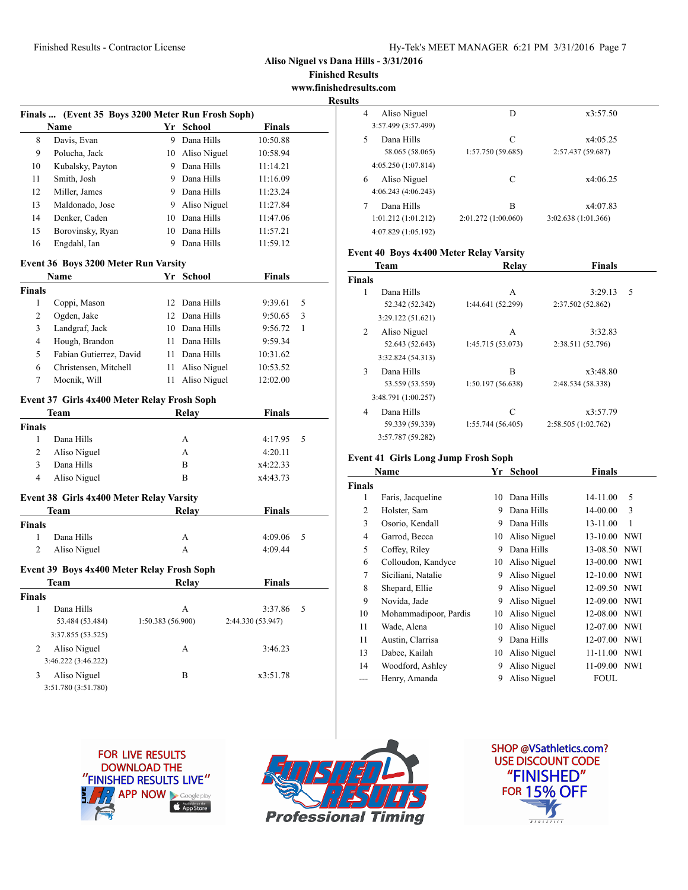**Finished Results www.finishedresults.com**

**Results**

|               | Finals  (Event 35 Boys 3200 Meter Run Frosh Soph) |                   |                 |                   |   |
|---------------|---------------------------------------------------|-------------------|-----------------|-------------------|---|
|               | Name                                              | Yr                | <b>School</b>   | Finals            |   |
| 8             | Davis, Evan                                       |                   | 9 Dana Hills    | 10:50.88          |   |
| 9             | Polucha, Jack                                     |                   | 10 Aliso Niguel | 10:58.94          |   |
| 10            | Kubalsky, Payton                                  |                   | 9 Dana Hills    | 11:14.21          |   |
| 11            | Smith, Josh                                       |                   | 9 Dana Hills    | 11:16.09          |   |
| 12            | Miller, James                                     |                   | 9 Dana Hills    | 11:23.24          |   |
| 13            | Maldonado, Jose                                   |                   | 9 Aliso Niguel  | 11:27.84          |   |
| 14            | Denker, Caden                                     |                   | 10 Dana Hills   | 11:47.06          |   |
| 15            | Borovinsky, Ryan                                  |                   | 10 Dana Hills   | 11:57.21          |   |
| 16            | Engdahl, Ian                                      |                   | 9 Dana Hills    | 11:59.12          |   |
|               |                                                   |                   |                 |                   |   |
|               | Event 36 Boys 3200 Meter Run Varsity              |                   |                 |                   |   |
|               | Name                                              |                   | Yr School       | <b>Finals</b>     |   |
| <b>Finals</b> |                                                   |                   |                 |                   |   |
| 1             | Coppi, Mason                                      | 12                | Dana Hills      | 9:39.61           | 5 |
| 2             | Ogden, Jake                                       | $12^{\circ}$      | Dana Hills      | 9:50.65           | 3 |
| 3             | Landgraf, Jack                                    |                   | 10 Dana Hills   | 9:56.72           | 1 |
| 4             | Hough, Brandon                                    |                   | 11 Dana Hills   | 9:59.34           |   |
| 5             | Fabian Gutierrez, David                           |                   | 11 Dana Hills   | 10:31.62          |   |
| 6             | Christensen, Mitchell                             |                   | 11 Aliso Niguel | 10:53.52          |   |
| 7             | Moenik, Will                                      |                   | 11 Aliso Niguel | 12:02.00          |   |
|               | Event 37 Girls 4x400 Meter Relay Frosh Soph       |                   |                 |                   |   |
|               | Team                                              |                   | Relay           | Finals            |   |
| <b>Finals</b> |                                                   |                   |                 |                   |   |
| 1             | Dana Hills                                        |                   | A               | 4:17.95           | 5 |
| 2             | Aliso Niguel                                      |                   | А               | 4:20.11           |   |
|               |                                                   |                   | В               | x4:22.33          |   |
| 3             | Dana Hills                                        |                   |                 |                   |   |
| 4             | Aliso Niguel                                      |                   | В               | x4:43.73          |   |
|               |                                                   |                   |                 |                   |   |
|               | Event 38 Girls 4x400 Meter Relay Varsity          |                   |                 |                   |   |
|               | Team                                              |                   | Relay           | <b>Finals</b>     |   |
|               |                                                   |                   |                 |                   |   |
| 1<br>2        | Dana Hills                                        |                   | A<br>A          | 4:09.06           | 5 |
| <b>Finals</b> | Aliso Niguel                                      |                   |                 | 4:09.44           |   |
|               | Event 39 Boys 4x400 Meter Relay Frosh Soph        |                   |                 |                   |   |
|               | Team                                              |                   | Relay           | Finals            |   |
| Finals        |                                                   |                   |                 |                   |   |
| 1             | Dana Hills                                        |                   | Α               | 3:37.86           | 5 |
|               | 53.484 (53.484)                                   | 1:50.383 (56.900) |                 | 2:44.330 (53.947) |   |
|               | 3:37.855 (53.525)                                 |                   |                 |                   |   |
| 2             | Aliso Niguel                                      |                   | A               | 3:46.23           |   |
|               | 3:46.222 (3:46.222)                               |                   |                 |                   |   |
| 3             | Aliso Niguel                                      |                   | В               | x3:51.78          |   |

| Aliso Niguel<br>4<br>3:57.499 (3:57.499)                 | D                        | x3:57.50                       |  |
|----------------------------------------------------------|--------------------------|--------------------------------|--|
| Dana Hills<br>5<br>58.065 (58.065)<br>4:05.250(1:07.814) | C<br>1:57.750 (59.685)   | x4:05.25<br>2:57.437 (59.687)  |  |
| Aliso Niguel<br>6<br>4:06.243(4:06.243)                  | C                        | x4:06.25                       |  |
| Dana Hills<br>1:01.212(1:01.212)<br>4:07.829 (1:05.192)  | B<br>2:01.272 (1:00.060) | x4:07.83<br>3:02.638(1:01.366) |  |

## **Event 40 Boys 4x400 Meter Relay Varsity**

| <b>Team</b>   |                     | Relay             | <b>Finals</b>       |   |
|---------------|---------------------|-------------------|---------------------|---|
| <b>Finals</b> |                     |                   |                     |   |
| 1             | Dana Hills          | A                 | 3:29.13             | 5 |
|               | 52.342 (52.342)     | 1:44.641 (52.299) | 2:37.502 (52.862)   |   |
|               | 3:29.122(51.621)    |                   |                     |   |
| 2             | Aliso Niguel        | A                 | 3:32.83             |   |
|               | 52.643 (52.643)     | 1:45.715 (53.073) | 2:38.511 (52.796)   |   |
|               | 3:32.824 (54.313)   |                   |                     |   |
| 3             | Dana Hills          | B                 | x3:48.80            |   |
|               | 53.559 (53.559)     | 1:50.197 (56.638) | 2:48.534 (58.338)   |   |
|               | 3:48.791 (1:00.257) |                   |                     |   |
| 4             | Dana Hills          | C                 | x3:57.79            |   |
|               | 59.339 (59.339)     | 1:55.744 (56.405) | 2:58.505 (1:02.762) |   |
|               | 3:57.787 (59.282)   |                   |                     |   |

### **Event 41 Girls Long Jump Frosh Soph**

|               | Name                  | Yr | School       | <b>Finals</b> |            |
|---------------|-----------------------|----|--------------|---------------|------------|
| <b>Finals</b> |                       |    |              |               |            |
| 1             | Faris, Jacqueline     | 10 | Dana Hills   | 14-11.00      | 5          |
| 2             | Holster, Sam          | 9  | Dana Hills   | 14-00.00      | 3          |
| 3             | Osorio, Kendall       | 9  | Dana Hills   | 13-11.00      | 1          |
| 4             | Garrod, Becca         | 10 | Aliso Niguel | 13-10.00      | <b>NWI</b> |
| 5             | Coffey, Riley         | 9  | Dana Hills   | 13-08.50      | <b>NWI</b> |
| 6             | Colloudon, Kandyce    | 10 | Aliso Niguel | 13-00.00      | <b>NWI</b> |
| 7             | Siciliani, Natalie    | 9  | Aliso Niguel | 12-10.00      | <b>NWI</b> |
| 8             | Shepard, Ellie        | 9  | Aliso Niguel | 12-09.50      | <b>NWI</b> |
| 9             | Novida, Jade          | 9  | Aliso Niguel | 12-09.00      | <b>NWI</b> |
| 10            | Mohammadipoor, Pardis | 10 | Aliso Niguel | 12-08.00      | <b>NWI</b> |
| 11            | Wade, Alena           | 10 | Aliso Niguel | 12-07.00      | <b>NWI</b> |
| 11            | Austin, Clarrisa      | 9  | Dana Hills   | 12-07.00      | <b>NWI</b> |
| 13            | Dabee, Kailah         | 10 | Aliso Niguel | $11 - 11.00$  | <b>NWI</b> |
| 14            | Woodford, Ashley      | 9  | Aliso Niguel | 11-09.00      | <b>NWI</b> |
| ---           | Henry, Amanda         | 9  | Aliso Niguel | <b>FOUL</b>   |            |





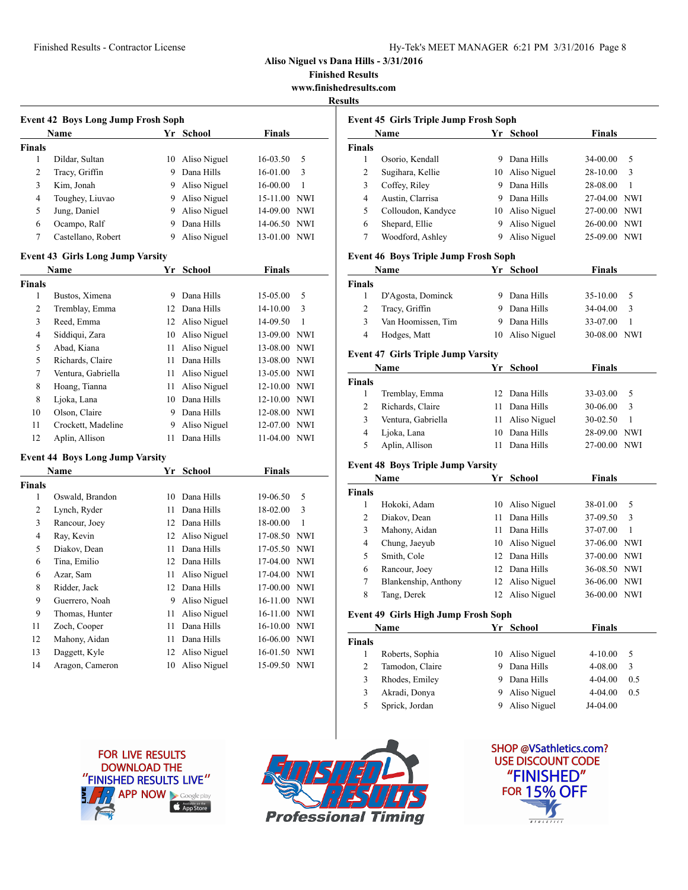| Hy-Tek's MEET MANAGER 6:21 PM 3/31/2016 Page 8 |  |  |  |
|------------------------------------------------|--|--|--|
|------------------------------------------------|--|--|--|

**Finished Results**

**www.finishedresults.com**

### $R_6$

| <b>Event 42 Boys Long Jump Frosh Soph</b> |                                         |    |                 |               |            |  |  |
|-------------------------------------------|-----------------------------------------|----|-----------------|---------------|------------|--|--|
|                                           | Name                                    |    | Yr School       | Finals        |            |  |  |
| <b>Finals</b>                             |                                         |    |                 |               |            |  |  |
| $\mathbf{1}$                              | Dildar, Sultan                          | 10 | Aliso Niguel    | 16-03.50      | 5          |  |  |
| $\overline{c}$                            | Tracy, Griffin                          | 9. | Dana Hills      | 16-01.00      | 3          |  |  |
| 3                                         | Kim, Jonah                              |    | 9 Aliso Niguel  | 16-00.00      | 1          |  |  |
| 4                                         | Toughey, Liuvao                         |    | 9 Aliso Niguel  | 15-11.00      | <b>NWI</b> |  |  |
| 5                                         | Jung, Daniel                            |    | 9 Aliso Niguel  | 14-09.00 NWI  |            |  |  |
| 6                                         | Ocampo, Ralf                            | 9  | Dana Hills      | 14-06.50      | <b>NWI</b> |  |  |
| 7                                         | Castellano, Robert                      | 9  | Aliso Niguel    | 13-01.00 NWI  |            |  |  |
|                                           | <b>Event 43 Girls Long Jump Varsity</b> |    |                 |               |            |  |  |
|                                           | Name                                    |    | Yr School       | <b>Finals</b> |            |  |  |
| <b>Finals</b>                             |                                         |    |                 |               |            |  |  |
| 1                                         | Bustos, Ximena                          |    | 9 Dana Hills    | 15-05.00      | 5          |  |  |
| $\overline{c}$                            | Tremblay, Emma                          | 12 | Dana Hills      | 14-10.00      | 3          |  |  |
| 3                                         | Reed, Emma                              |    | 12 Aliso Niguel | 14-09.50      | 1          |  |  |
| 4                                         | Siddiqui, Zara                          |    | 10 Aliso Niguel | 13-09.00      | <b>NWI</b> |  |  |
| 5                                         | Abad, Kiana                             | 11 | Aliso Niguel    | 13-08.00      | <b>NWI</b> |  |  |
| 5                                         | Richards, Claire                        | 11 | Dana Hills      | 13-08.00 NWI  |            |  |  |
| 7                                         | Ventura, Gabriella                      | 11 | Aliso Niguel    | 13-05.00 NWI  |            |  |  |
| 8                                         | Hoang, Tianna                           | 11 | Aliso Niguel    | 12-10.00      | <b>NWI</b> |  |  |
| 8                                         | Ljoka, Lana                             | 10 | Dana Hills      | 12-10.00 NWI  |            |  |  |
| 10                                        | Olson, Claire                           |    | 9 Dana Hills    | 12-08.00 NWI  |            |  |  |
| 11                                        | Crockett, Madeline                      | 9  | Aliso Niguel    | 12-07.00 NWI  |            |  |  |
| 12                                        | Aplin, Allison                          | 11 | Dana Hills      | 11-04.00 NWI  |            |  |  |
|                                           | <b>Event 44 Boys Long Jump Varsity</b>  |    |                 |               |            |  |  |
|                                           | Name                                    | Yr | <b>School</b>   | Finals        |            |  |  |
| <b>Finals</b>                             |                                         |    |                 |               |            |  |  |
| 1                                         | Oswald, Brandon                         | 10 | Dana Hills      | 19-06.50      | 5          |  |  |
| 2                                         | Lynch, Ryder                            | 11 | Dana Hills      | 18-02.00      | 3          |  |  |
| 3                                         | Rancour, Joey                           |    | 12 Dana Hills   | 18-00.00      | 1          |  |  |
| 4                                         | Ray, Kevin                              | 12 | Aliso Niguel    | 17-08.50      | <b>NWI</b> |  |  |
| 5                                         | Diakov, Dean                            | 11 | Dana Hills      | 17-05.50 NWI  |            |  |  |
| 6                                         | Tina, Emilio                            | 12 | Dana Hills      | 17-04.00 NWI  |            |  |  |
| 6                                         | Azar, Sam                               | 11 | Aliso Niguel    | 17-04.00 NWI  |            |  |  |
| 8                                         | Ridder, Jack                            |    | 12 Dana Hills   | 17-00.00 NWI  |            |  |  |
| 9                                         | Guerrero, Noah                          | 9. | Aliso Niguel    | 16-11.00 NWI  |            |  |  |
| 9                                         | Thomas, Hunter                          | 11 | Aliso Niguel    | 16-11.00      | <b>NWI</b> |  |  |
| 11                                        | Zoch, Cooper                            | 11 | Dana Hills      | 16-10.00      | <b>NWI</b> |  |  |
| 12                                        | Mahony, Aidan                           | 11 | Dana Hills      | 16-06.00      | <b>NWI</b> |  |  |

|               | <b>Event 45 Girls Triple Jump Frosh Soph</b><br>Name |    | Yr School                          | <b>Finals</b>        |                   |
|---------------|------------------------------------------------------|----|------------------------------------|----------------------|-------------------|
| <b>Finals</b> |                                                      |    |                                    |                      |                   |
| 1             | Osorio, Kendall                                      |    | 9 Dana Hills                       | 34-00.00             | 5                 |
| 2             | Sugihara, Kellie                                     |    | 10 Aliso Niguel                    | 28-10.00             | 3                 |
| 3             | Coffey, Riley                                        |    | 9 Dana Hills                       | 28-08.00             | $\mathbf{1}$      |
| 4             | Austin, Clarrisa                                     |    | 9 Dana Hills                       | 27-04.00             | <b>NWI</b>        |
| 5             | Colloudon, Kandyce                                   |    | 10 Aliso Niguel                    | 27-00.00 NWI         |                   |
| 6             | Shepard, Ellie                                       |    | 9 Aliso Niguel                     | 26-00.00             | NWI               |
| 7             | Woodford, Ashley                                     |    | 9 Aliso Niguel                     | 25-09.00 NWI         |                   |
|               | <b>Event 46 Boys Triple Jump Frosh Soph</b>          |    |                                    |                      |                   |
|               | Name                                                 |    | Yr School                          | <b>Finals</b>        |                   |
| <b>Finals</b> |                                                      |    |                                    |                      |                   |
| 1             | D'Agosta, Dominck                                    |    | 9 Dana Hills                       | 35-10.00             | 5                 |
| 2             | Tracy, Griffin                                       |    | 9 Dana Hills                       | 34-04.00             | 3                 |
| 3             | Van Hoomissen, Tim                                   |    | 9 Dana Hills                       | 33-07.00             | 1                 |
| 4             | Hodges, Matt                                         |    | 10 Aliso Niguel                    | 30-08.00 NWI         |                   |
|               | <b>Event 47 Girls Triple Jump Varsity</b>            |    |                                    |                      |                   |
|               | Name                                                 | Yr | <b>School</b>                      | <b>Finals</b>        |                   |
| <b>Finals</b> |                                                      |    |                                    |                      |                   |
| $\mathbf{1}$  | Tremblay, Emma                                       |    | 12 Dana Hills                      | 33-03.00             | 5                 |
| 2             | Richards, Claire                                     |    | 11 Dana Hills                      | 30-06.00             | 3                 |
| 3             | Ventura, Gabriella                                   | 11 | Aliso Niguel                       | 30-02.50             | 1                 |
| 4             | Ljoka, Lana                                          |    | 10 Dana Hills                      | 28-09.00             | NWI               |
| 5             | Aplin, Allison                                       | 11 | Dana Hills                         | 27-00.00             | <b>NWI</b>        |
|               | <b>Event 48 Boys Triple Jump Varsity</b>             |    |                                    |                      |                   |
|               | Name                                                 | Yr | <b>School</b>                      | <b>Finals</b>        |                   |
| <b>Finals</b> |                                                      |    |                                    |                      |                   |
| 1<br>2        | Hokoki, Adam                                         | 10 | Aliso Niguel<br>Dana Hills         | 38-01.00             | 5<br>3            |
|               | Diakov, Dean                                         | 11 |                                    | 37-09.50             |                   |
| 3<br>4        | Mahony, Aidan                                        |    | 11 Dana Hills                      | 37-07.00             | 1<br><b>NWI</b>   |
|               | Chung, Jaeyub<br>Smith, Cole                         |    | 10 Aliso Niguel<br>12 Dana Hills   | 37-06.00             |                   |
| 5             |                                                      |    |                                    | 37-00.00 NWI         |                   |
| 6             | Rancour, Joey                                        |    | 12 Dana Hills                      | 36-08.50 NWI         |                   |
| 7<br>8        | Blankenship, Anthony<br>Tang, Derek                  |    | 12 Aliso Niguel<br>12 Aliso Niguel | 36-06.00<br>36-00.00 | NWI<br><b>NWI</b> |
|               |                                                      |    |                                    |                      |                   |
|               | <b>Event 49 Girls High Jump Frosh Soph</b><br>Name   |    | Yr School                          | <b>Finals</b>        |                   |
|               |                                                      |    |                                    |                      |                   |
|               |                                                      |    | Aliso Niguel                       | 4-10.00              | 5                 |
| Finals<br>1   | Roberts, Sophia                                      | 10 |                                    |                      |                   |
| 2             | Tamodon, Claire                                      | 9  | Dana Hills                         | 4-08.00              | 3                 |
| 3             | Rhodes, Emiley                                       | 9. | Dana Hills                         | 4-04.00              | 0.5               |
| 3             | Akradi, Donya                                        | 9. | Aliso Niguel                       | 4-04.00              | 0.5               |



 Daggett, Kyle 12 Aliso Niguel 16-01.50 NWI Aragon, Cameron 10 Aliso Niguel 15-09.50 NWI



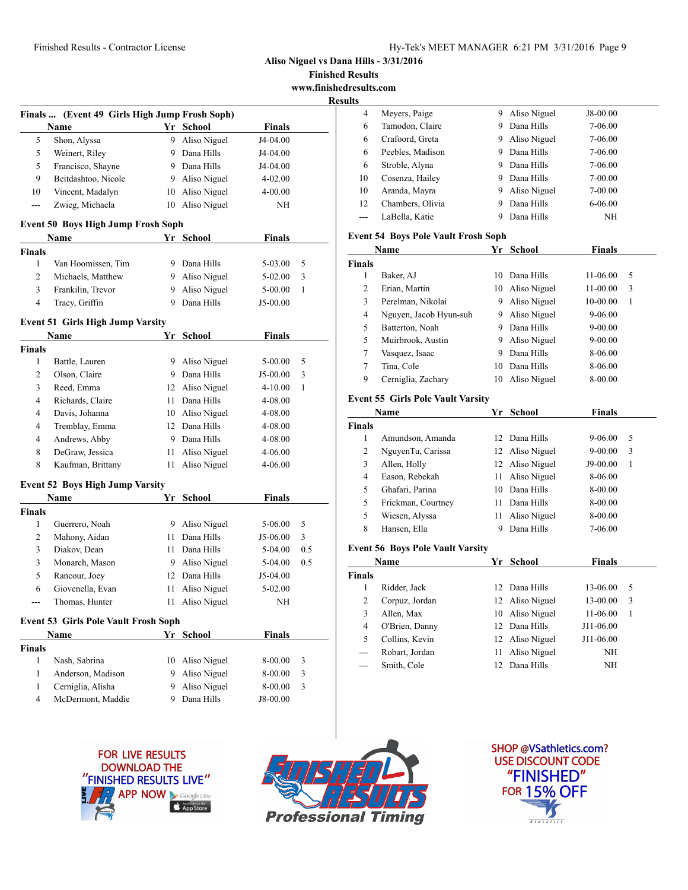**Finished Results www.finishedresults.com**

**Result** 

|             | Finals  (Event 49 Girls High Jump Frosh Soph)       |        |                            |                     |     |
|-------------|-----------------------------------------------------|--------|----------------------------|---------------------|-----|
|             | Name                                                |        | Yr School                  | <b>Finals</b>       |     |
| 5           | Shon, Alyssa                                        | 9.     | Aliso Niguel               | J4-04.00            |     |
| 5           | Weinert, Riley                                      |        | 9 Dana Hills               | J4-04.00            |     |
| 5           | Francisco, Shayne                                   |        | 9 Dana Hills               | J4-04.00            |     |
| 9           | Beitdashtoo, Nicole                                 |        | 9 Aliso Niguel             | 4-02.00             |     |
| 10          | Vincent, Madalyn                                    | 10     | Aliso Niguel               | 4-00.00             |     |
| ---         | Zwieg, Michaela                                     | 10     | Aliso Niguel               | NΗ                  |     |
|             | Event 50 Boys High Jump Frosh Soph                  |        |                            |                     |     |
| Finals      | Name                                                |        | Yr School                  | <b>Finals</b>       |     |
| 1           | Van Hoomissen, Tim                                  |        | 9 Dana Hills               | 5-03.00             | 5   |
| 2           | Michaels, Matthew                                   |        | 9 Aliso Niguel             | 5-02.00             | 3   |
| 3           | Frankilin, Trevor                                   | 9      | Aliso Niguel               | $5 - 00.00$         | 1   |
| 4           | Tracy, Griffin                                      | 9      | Dana Hills                 | J5-00.00            |     |
|             | <b>Event 51 Girls High Jump Varsity</b>             |        |                            |                     |     |
|             | Name                                                | Yr     | <b>School</b>              | <b>Finals</b>       |     |
| Finals      |                                                     |        |                            |                     |     |
| 1           | Battle, Lauren                                      | 9      | Aliso Niguel               | $5 - 00.00$         | 5   |
| 2           | Olson, Claire                                       |        | 9 Dana Hills               | J5-00.00            | 3   |
| 3           | Reed, Emma                                          |        | 12 Aliso Niguel            | $4 - 10.00$         | 1   |
| 4           | Richards, Claire                                    |        | 11 Dana Hills              | 4-08.00             |     |
| 4           | Davis, Johanna                                      |        | 10 Aliso Niguel            | 4-08.00             |     |
| 4           | Tremblay, Emma                                      |        | 12 Dana Hills              | 4-08.00             |     |
| 4           | Andrews, Abby                                       |        | 9 Dana Hills               |                     |     |
|             |                                                     |        |                            | 4-08.00             |     |
| 8           | DeGraw, Jessica                                     | 11     | Aliso Niguel               | 4-06.00             |     |
| 8           | Kaufman, Brittany                                   | 11     | Aliso Niguel               | 4-06.00             |     |
|             | <b>Event 52 Boys High Jump Varsity</b>              |        |                            |                     |     |
| Finals      | Name                                                |        | Yr School                  | <b>Finals</b>       |     |
| 1           | Guerrero, Noah                                      | 9      | Aliso Niguel               | 5-06.00             | 5   |
| 2           | Mahony, Aidan                                       | 11     | Dana Hills                 | J5-06.00            | 3   |
| 3           | Diakov, Dean                                        | 11     | Dana Hills                 | 5-04.00             | 0.5 |
| 3           | Monarch, Mason                                      |        | 9 Aliso Niguel             | $5-04.00$           | 0.5 |
| 5           | Rancour, Joey                                       |        | 12 Dana Hills              | J5-04.00            |     |
| 6           | Giovenella, Evan                                    | 11     | Aliso Niguel               | 5-02.00             |     |
|             | Thomas, Hunter                                      |        | 11 Aliso Niguel            | NH                  |     |
|             |                                                     |        |                            |                     |     |
|             | <b>Event 53 Girls Pole Vault Frosh Soph</b><br>Name |        | Yr School                  | <b>Finals</b>       |     |
|             |                                                     |        |                            |                     |     |
| Finals<br>1 | Nash, Sabrina                                       | 10     | Aliso Niguel               | 8-00.00             | 3   |
| 1           | Anderson, Madison                                   |        | 9 Aliso Niguel             | 8-00.00             | 3   |
| 1           |                                                     |        |                            |                     | 3   |
| 4           | Cerniglia, Alisha<br>McDermont, Maddie              | 9<br>9 | Aliso Niguel<br>Dana Hills | 8-00.00<br>J8-00.00 |     |
|             |                                                     |        |                            |                     |     |
|             |                                                     |        |                            |                     |     |

| .s |                  |   |              |             |  |
|----|------------------|---|--------------|-------------|--|
| 4  | Meyers, Paige    | 9 | Aliso Niguel | J8-00.00    |  |
| 6  | Tamodon, Claire  | 9 | Dana Hills   | 7-06.00     |  |
| 6  | Crafoord, Greta  | 9 | Aliso Niguel | 7-06.00     |  |
| 6  | Peebles, Madison | 9 | Dana Hills   | 7-06.00     |  |
| 6  | Stroble, Alyna   | 9 | Dana Hills   | 7-06.00     |  |
| 10 | Cosenza, Hailey  | 9 | Dana Hills   | 7-00.00     |  |
| 10 | Aranda, Mayra    | 9 | Aliso Niguel | $7 - 00.00$ |  |
| 12 | Chambers, Olivia | 9 | Dana Hills   | $6 - 06.00$ |  |
|    | LaBella, Katie   |   | Dana Hills   | NΗ          |  |

#### **Event 54 Boys Pole Vault Frosh Soph**

|               | Name                   |    | School       | <b>Finals</b> |   |
|---------------|------------------------|----|--------------|---------------|---|
| <b>Finals</b> |                        |    |              |               |   |
| 1             | Baker, AJ              | 10 | Dana Hills   | 11-06.00      | 5 |
| 2             | Erian, Martin          | 10 | Aliso Niguel | 11-00.00      | 3 |
| 3             | Perelman, Nikolai      | 9  | Aliso Niguel | 10-00.00      | 1 |
| 4             | Nguyen, Jacob Hyun-suh | 9  | Aliso Niguel | $9 - 06.00$   |   |
| 5             | Batterton, Noah        | 9  | Dana Hills   | $9 - 00.00$   |   |
| 5             | Muirbrook, Austin      | 9  | Aliso Niguel | $9 - 00.00$   |   |
| 7             | Vasquez, Isaac         | 9  | Dana Hills   | 8-06.00       |   |
| 7             | Tina, Cole             | 10 | Dana Hills   | 8-06.00       |   |
| 9             | Cerniglia, Zachary     | 10 | Aliso Niguel | 8-00.00       |   |

## **Event 55 Girls Pole Vault Varsity**

| Name          |                                         | Yr | School          | <b>Finals</b> |   |
|---------------|-----------------------------------------|----|-----------------|---------------|---|
| <b>Finals</b> |                                         |    |                 |               |   |
| 1             | Amundson, Amanda                        | 12 | Dana Hills      | $9 - 06.00$   | 5 |
| 2             | NguyenTu, Carissa                       |    | 12 Aliso Niguel | $9 - 00.00$   | 3 |
| 3             | Allen, Holly                            |    | 12 Aliso Niguel | $J9-00.00$    | 1 |
| 4             | Eason, Rebekah                          | 11 | Aliso Niguel    | 8-06.00       |   |
| 5             | Ghafari, Parina                         | 10 | Dana Hills      | 8-00.00       |   |
| 5             | Frickman, Courtney                      | 11 | Dana Hills      | 8-00.00       |   |
| 5             | Wiesen, Alyssa                          | 11 | Aliso Niguel    | 8-00.00       |   |
| 8             | Hansen, Ella                            | 9  | Dana Hills      | 7-06.00       |   |
|               | <b>Event 56 Boys Pole Vault Varsity</b> |    |                 |               |   |

| Name          |                |     | Yr School       | Finals    |   |
|---------------|----------------|-----|-----------------|-----------|---|
| <b>Finals</b> |                |     |                 |           |   |
|               | Ridder, Jack   | 12. | Dana Hills      | 13-06.00  | 5 |
| 2             | Corpuz, Jordan |     | 12 Aliso Niguel | 13-00.00  | 3 |
| 3             | Allen, Max     | 10  | Aliso Niguel    | 11-06.00  |   |
| 4             | O'Brien, Danny |     | 12 Dana Hills   | J11-06.00 |   |
| 5             | Collins, Kevin |     | 12 Aliso Niguel | J11-06.00 |   |
| $---$         | Robart, Jordan | 11  | Aliso Niguel    | ΝH        |   |
| $---$         | Smith, Cole    | 12. | Dana Hills      | ΝH        |   |
|               |                |     |                 |           |   |





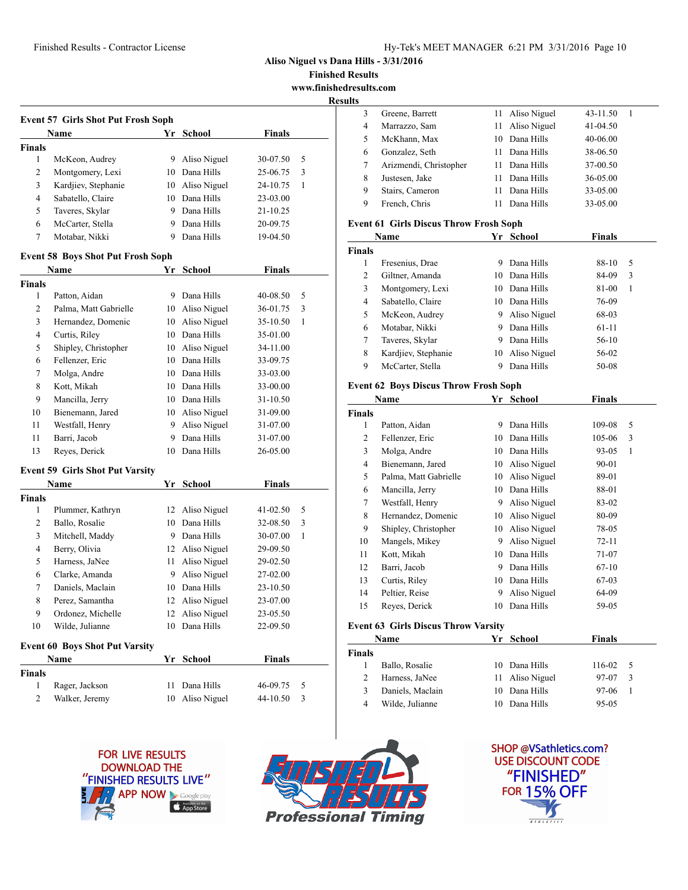**Finished Results**

**www.finishedresults.com**

|                   | <b>Event 57 Girls Shot Put Frosh Soph</b> |    |                                    |                      |   |
|-------------------|-------------------------------------------|----|------------------------------------|----------------------|---|
|                   | Name                                      |    | Yr School                          | <b>Finals</b>        |   |
| <b>Finals</b>     |                                           |    |                                    |                      |   |
| 1                 | McKeon, Audrey                            | 9  | Aliso Niguel                       | 30-07.50             | 5 |
| 2                 | Montgomery, Lexi                          |    | 10 Dana Hills                      | 25-06.75             | 3 |
| 3                 | Kardjiev, Stephanie                       |    | 10 Aliso Niguel                    | 24-10.75             | 1 |
| 4                 | Sabatello, Claire                         |    | 10 Dana Hills                      | 23-03.00             |   |
| 5                 | Taveres, Skylar                           |    | 9 Dana Hills                       | 21-10.25             |   |
| 6                 | McCarter, Stella                          |    | 9 Dana Hills                       | 20-09.75             |   |
| 7                 | Motabar, Nikki                            |    | 9 Dana Hills                       | 19-04.50             |   |
|                   | <b>Event 58 Boys Shot Put Frosh Soph</b>  |    |                                    |                      |   |
|                   | Name                                      | Yr | <b>School</b>                      | <b>Finals</b>        |   |
| <b>Finals</b>     |                                           |    |                                    |                      |   |
| $\mathbf{1}$      | Patton, Aidan                             |    | 9 Dana Hills                       | 40-08.50             | 5 |
| 2                 | Palma, Matt Gabrielle                     |    | 10 Aliso Niguel                    | 36-01.75             | 3 |
| 3                 | Hernandez, Domenic                        |    | 10 Aliso Niguel                    | 35-10.50             | 1 |
| 4                 | Curtis, Riley                             |    | 10 Dana Hills                      | 35-01.00             |   |
| 5                 | Shipley, Christopher                      |    | 10 Aliso Niguel                    | 34-11.00             |   |
| 6                 | Fellenzer, Eric                           |    | 10 Dana Hills                      | 33-09.75             |   |
| 7                 | Molga, Andre                              |    | 10 Dana Hills                      | 33-03.00             |   |
| 8                 | Kott, Mikah                               |    | 10 Dana Hills                      | 33-00.00             |   |
| 9                 | Mancilla, Jerry                           |    | 10 Dana Hills                      | 31-10.50             |   |
| 10                | Bienemann, Jared                          |    | 10 Aliso Niguel                    | 31-09.00             |   |
| 11                | Westfall, Henry                           |    | 9 Aliso Niguel                     | 31-07.00             |   |
| 11                | Barri, Jacob                              | 9  | Dana Hills                         | 31-07.00             |   |
| 13                | Reyes, Derick                             |    | 10 Dana Hills                      | 26-05.00             |   |
|                   | <b>Event 59 Girls Shot Put Varsity</b>    |    |                                    |                      |   |
|                   | Name                                      |    | Yr School                          | <b>Finals</b>        |   |
| <b>Finals</b>     |                                           |    |                                    |                      |   |
| 1                 | Plummer, Kathryn                          | 12 | Aliso Niguel                       | 41-02.50             | 5 |
| 2                 | Ballo, Rosalie                            | 10 | Dana Hills                         | 32-08.50             | 3 |
| 3                 | Mitchell, Maddy                           |    | 9 Dana Hills                       | 30-07.00             | 1 |
| 4<br>5            | Berry, Olivia<br>Harness, JaNee           |    | 12 Aliso Niguel<br>11 Aliso Niguel | 29-09.50             |   |
| 6                 | Clarke, Amanda                            | 9  | Aliso Niguel                       | 29-02.50<br>27-02.00 |   |
| 7                 | Daniels, Maclain                          |    | 10 Dana Hills                      |                      |   |
| 8                 | Perez, Samantha                           |    | 12 Aliso Niguel                    | 23-10.50<br>23-07.00 |   |
| 9                 | Ordonez, Michelle                         | 12 | Aliso Niguel                       |                      |   |
| 10                |                                           | 10 | Dana Hills                         | 23-05.50<br>22-09.50 |   |
|                   | Wilde, Julianne                           |    |                                    |                      |   |
|                   | <b>Event 60 Boys Shot Put Varsity</b>     |    |                                    |                      |   |
|                   | Name                                      | Yr | <b>School</b>                      | <b>Finals</b>        |   |
| <b>Finals</b>     |                                           |    |                                    |                      |   |
| $\mathbf{1}$<br>2 | Rager, Jackson                            | 11 | Dana Hills                         | 46-09.75             | 5 |
|                   | Walker, Jeremy                            | 10 | Aliso Niguel                       | 44-10.50             | 3 |

| ults          |                                               |          |                            |                 |        |  |
|---------------|-----------------------------------------------|----------|----------------------------|-----------------|--------|--|
| 3             | Greene, Barrett                               | 11 -     | Aliso Niguel               | 43-11.50        | 1      |  |
| 4             | Marrazzo, Sam                                 | 11       | Aliso Niguel               | 41-04.50        |        |  |
| 5             | McKhann, Max                                  |          | 10 Dana Hills              | 40-06.00        |        |  |
| 6             | Gonzalez, Seth                                | 11.      | Dana Hills                 | 38-06.50        |        |  |
| 7             | Arizmendi, Christopher                        | 11.      | Dana Hills                 | 37-00.50        |        |  |
| 8             | Justesen, Jake                                | 11       | Dana Hills                 | 36-05.00        |        |  |
| 9             | Stairs, Cameron                               | 11-      | Dana Hills                 | 33-05.00        |        |  |
| 9             | French, Chris                                 | 11 -     | Dana Hills                 | 33-05.00        |        |  |
|               | <b>Event 61 Girls Discus Throw Frosh Soph</b> |          |                            |                 |        |  |
|               | Name                                          |          | Yr School                  | <b>Finals</b>   |        |  |
| <b>Finals</b> |                                               |          |                            |                 |        |  |
| 1             | Fresenius, Drae                               | 9        | Dana Hills                 | 88-10           | 5      |  |
| 2             | Giltner, Amanda                               |          | 10 Dana Hills              | 84-09           | 3      |  |
| 3             | Montgomery, Lexi                              |          | 10 Dana Hills              | 81-00           | 1      |  |
| 4             | Sabatello, Claire                             |          | 10 Dana Hills              | 76-09           |        |  |
| 5             | McKeon, Audrey                                |          | 9 Aliso Niguel             | 68-03           |        |  |
| 6             | Motabar, Nikki                                | 9        | Dana Hills                 | $61-11$         |        |  |
| 7             | Taveres, Skylar                               |          | 9 Dana Hills               | 56-10           |        |  |
| 8             | Kardjiev, Stephanie                           | 10       | Aliso Niguel               | 56-02           |        |  |
| 9             | McCarter, Stella                              | 9.       | Dana Hills                 | 50-08           |        |  |
|               | <b>Event 62 Boys Discus Throw Frosh Soph</b>  |          |                            |                 |        |  |
|               | Name                                          |          | Yr School                  | <b>Finals</b>   |        |  |
| Finals        |                                               |          |                            |                 |        |  |
| 1             | Patton, Aidan                                 |          | 9 Dana Hills               | 109-08          | 5      |  |
| 2             | Fellenzer, Eric                               |          | 10 Dana Hills              | 105-06          | 3      |  |
| 3             | Molga, Andre                                  |          | 10 Dana Hills              | 93-05           | 1      |  |
| 4             | Bienemann, Jared                              |          | 10 Aliso Niguel            | 90-01           |        |  |
| 5             | Palma, Matt Gabrielle                         |          | 10 Aliso Niguel            | 89-01           |        |  |
| 6             | Mancilla, Jerry                               |          | 10 Dana Hills              | 88-01           |        |  |
| 7             | Westfall, Henry                               |          | 9 Aliso Niguel             | 83-02           |        |  |
| 8             | Hernandez, Domenic                            | 10       | Aliso Niguel               | 80-09           |        |  |
| 9             | Shipley, Christopher                          |          | 10 Aliso Niguel            | 78-05           |        |  |
| 10            | Mangels, Mikey                                | 9.       | Aliso Niguel               | 72-11           |        |  |
| 11            | Kott, Mikah                                   | 10       | Dana Hills                 | 71-07           |        |  |
| 12            | Barri, Jacob                                  | 9        | Dana Hills                 | 67-10           |        |  |
| 13            | Curtis, Riley                                 | 10       | Dana Hills                 | 67-03           |        |  |
| 14            | Peltier, Reise                                | 9        | Aliso Niguel               | 64-09           |        |  |
| 15            | Reyes, Derick                                 | 10       | Dana Hills                 | 59-05           |        |  |
|               |                                               |          |                            |                 |        |  |
|               |                                               |          |                            |                 |        |  |
|               | <b>Event 63 Girls Discus Throw Varsity</b>    |          |                            |                 |        |  |
|               | Name                                          |          | Yr School                  | <b>Finals</b>   |        |  |
| Finals        |                                               |          |                            |                 |        |  |
| 1<br>2        | Ballo, Rosalie<br>Harness, JaNee              | 10<br>11 | Dana Hills<br>Aliso Niguel | 116-02<br>97-07 | 5<br>3 |  |

 Daniels, Maclain 10 Dana Hills 97-06 1 Wilde, Julianne 10 Dana Hills 95-05